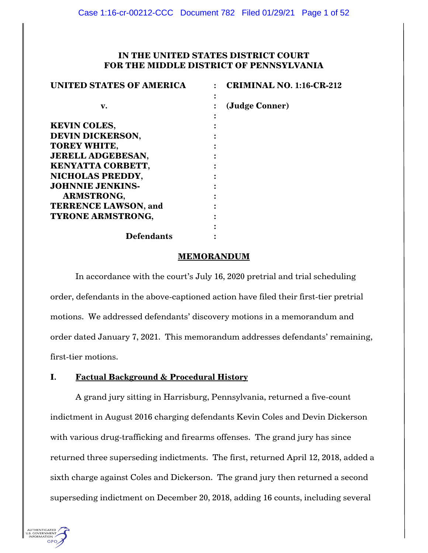# **IN THE UNITED STATES DISTRICT COURT FOR THE MIDDLE DISTRICT OF PENNSYLVANIA**

| <b>UNITED STATES OF AMERICA</b> | <b>CRIMINAL NO. 1:16-CR-212</b> |
|---------------------------------|---------------------------------|
|                                 |                                 |
| v.                              | (Judge Conner)                  |
|                                 |                                 |
| <b>KEVIN COLES,</b>             |                                 |
| <b>DEVIN DICKERSON,</b>         |                                 |
| <b>TOREY WHITE,</b>             |                                 |
| <b>JERELL ADGEBESAN,</b>        |                                 |
| KENYATTA CORBETT,               |                                 |
| NICHOLAS PREDDY,                |                                 |
| <b>JOHNNIE JENKINS-</b>         |                                 |
| <b>ARMSTRONG,</b>               |                                 |
| <b>TERRENCE LAWSON, and</b>     |                                 |
| <b>TYRONE ARMSTRONG,</b>        |                                 |
|                                 |                                 |
| <b>Defendants</b>               |                                 |

### **MEMORANDUM**

In accordance with the court's July 16, 2020 pretrial and trial scheduling order, defendants in the above-captioned action have filed their first-tier pretrial motions. We addressed defendants' discovery motions in a memorandum and order dated January 7, 2021. This memorandum addresses defendants' remaining, first-tier motions.

# **I. Factual Background & Procedural History**

A grand jury sitting in Harrisburg, Pennsylvania, returned a five-count indictment in August 2016 charging defendants Kevin Coles and Devin Dickerson with various drug-trafficking and firearms offenses. The grand jury has since returned three superseding indictments. The first, returned April 12, 2018, added a sixth charge against Coles and Dickerson. The grand jury then returned a second superseding indictment on December 20, 2018, adding 16 counts, including several

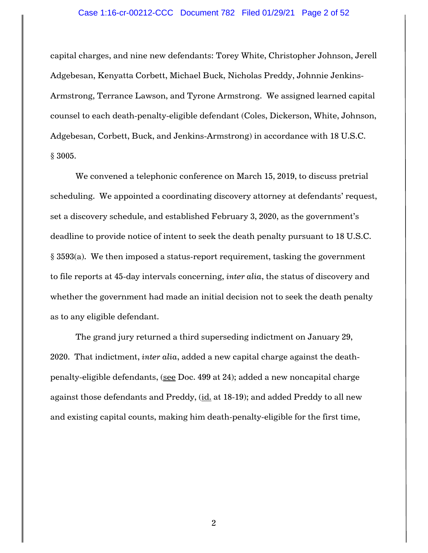## Case 1:16-cr-00212-CCC Document 782 Filed 01/29/21 Page 2 of 52

capital charges, and nine new defendants: Torey White, Christopher Johnson, Jerell Adgebesan, Kenyatta Corbett, Michael Buck, Nicholas Preddy, Johnnie Jenkins-Armstrong, Terrance Lawson, and Tyrone Armstrong. We assigned learned capital counsel to each death-penalty-eligible defendant (Coles, Dickerson, White, Johnson, Adgebesan, Corbett, Buck, and Jenkins-Armstrong) in accordance with 18 U.S.C. § 3005.

We convened a telephonic conference on March 15, 2019, to discuss pretrial scheduling. We appointed a coordinating discovery attorney at defendants' request, set a discovery schedule, and established February 3, 2020, as the government's deadline to provide notice of intent to seek the death penalty pursuant to 18 U.S.C. § 3593(a). We then imposed a status-report requirement, tasking the government to file reports at 45-day intervals concerning, *inter alia*, the status of discovery and whether the government had made an initial decision not to seek the death penalty as to any eligible defendant.

The grand jury returned a third superseding indictment on January 29, 2020. That indictment, *inter alia*, added a new capital charge against the deathpenalty-eligible defendants, (see Doc. 499 at 24); added a new noncapital charge against those defendants and Preddy, (id. at 18-19); and added Preddy to all new and existing capital counts, making him death-penalty-eligible for the first time,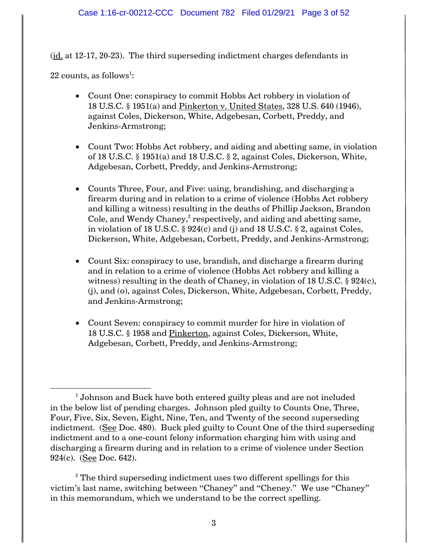(id. at 12-17, 20-23). The third superseding indictment charges defendants in

 $22$  counts, as follows $^{\rm l}$ :

- Count One: conspiracy to commit Hobbs Act robbery in violation of 18 U.S.C. § 1951(a) and Pinkerton v. United States, 328 U.S. 640 (1946), against Coles, Dickerson, White, Adgebesan, Corbett, Preddy, and Jenkins-Armstrong;
- Count Two: Hobbs Act robbery, and aiding and abetting same, in violation of 18 U.S.C. § 1951(a) and 18 U.S.C. § 2, against Coles, Dickerson, White, Adgebesan, Corbett, Preddy, and Jenkins-Armstrong;
- Counts Three, Four, and Five: using, brandishing, and discharging a firearm during and in relation to a crime of violence (Hobbs Act robbery and killing a witness) resulting in the deaths of Phillip Jackson, Brandon Cole, and Wendy Chaney, $^2$  respectively, and aiding and abetting same, in violation of 18 U.S.C. § 924(c) and (j) and 18 U.S.C. § 2, against Coles, Dickerson, White, Adgebesan, Corbett, Preddy, and Jenkins-Armstrong;
- Count Six: conspiracy to use, brandish, and discharge a firearm during and in relation to a crime of violence (Hobbs Act robbery and killing a witness) resulting in the death of Chaney, in violation of 18 U.S.C.  $\S 924(c)$ , (j), and (o), against Coles, Dickerson, White, Adgebesan, Corbett, Preddy, and Jenkins-Armstrong;
- Count Seven: conspiracy to commit murder for hire in violation of 18 U.S.C. § 1958 and Pinkerton, against Coles, Dickerson, White, Adgebesan, Corbett, Preddy, and Jenkins-Armstrong;

 $2^2$  The third superseding indictment uses two different spellings for this victim's last name, switching between "Chaney" and "Cheney." We use "Chaney" in this memorandum, which we understand to be the correct spelling.

 $\overline{\phantom{a}}$  $^{\rm 1}$  Johnson and Buck have both entered guilty pleas and are not included in the below list of pending charges. Johnson pled guilty to Counts One, Three, Four, Five, Six, Seven, Eight, Nine, Ten, and Twenty of the second superseding indictment. (See Doc. 480). Buck pled guilty to Count One of the third superseding indictment and to a one-count felony information charging him with using and discharging a firearm during and in relation to a crime of violence under Section 924(c). (See Doc. 642).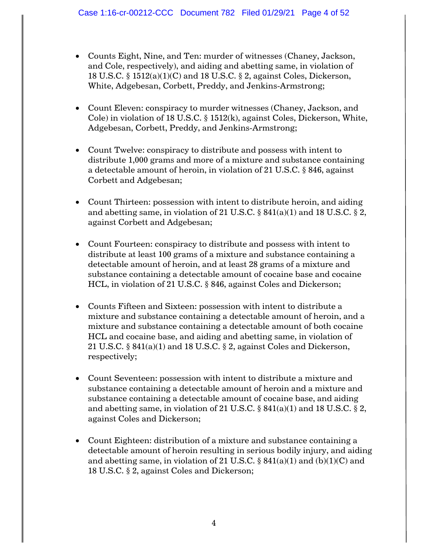- Counts Eight, Nine, and Ten: murder of witnesses (Chaney, Jackson, and Cole, respectively), and aiding and abetting same, in violation of 18 U.S.C. § 1512(a)(1)(C) and 18 U.S.C. § 2, against Coles, Dickerson, White, Adgebesan, Corbett, Preddy, and Jenkins-Armstrong;
- Count Eleven: conspiracy to murder witnesses (Chaney, Jackson, and Cole) in violation of 18 U.S.C. § 1512(k), against Coles, Dickerson, White, Adgebesan, Corbett, Preddy, and Jenkins-Armstrong;
- Count Twelve: conspiracy to distribute and possess with intent to distribute 1,000 grams and more of a mixture and substance containing a detectable amount of heroin, in violation of 21 U.S.C. § 846, against Corbett and Adgebesan;
- Count Thirteen: possession with intent to distribute heroin, and aiding and abetting same, in violation of 21 U.S.C.  $\S$  841(a)(1) and 18 U.S.C.  $\S$  2, against Corbett and Adgebesan;
- Count Fourteen: conspiracy to distribute and possess with intent to distribute at least 100 grams of a mixture and substance containing a detectable amount of heroin, and at least 28 grams of a mixture and substance containing a detectable amount of cocaine base and cocaine HCL, in violation of 21 U.S.C. § 846, against Coles and Dickerson;
- Counts Fifteen and Sixteen: possession with intent to distribute a mixture and substance containing a detectable amount of heroin, and a mixture and substance containing a detectable amount of both cocaine HCL and cocaine base, and aiding and abetting same, in violation of 21 U.S.C. § 841(a)(1) and 18 U.S.C. § 2, against Coles and Dickerson, respectively;
- Count Seventeen: possession with intent to distribute a mixture and substance containing a detectable amount of heroin and a mixture and substance containing a detectable amount of cocaine base, and aiding and abetting same, in violation of 21 U.S.C.  $\S$  841(a)(1) and 18 U.S.C.  $\S$  2, against Coles and Dickerson;
- Count Eighteen: distribution of a mixture and substance containing a detectable amount of heroin resulting in serious bodily injury, and aiding and abetting same, in violation of 21 U.S.C.  $\S$  841(a)(1) and (b)(1)(C) and 18 U.S.C. § 2, against Coles and Dickerson;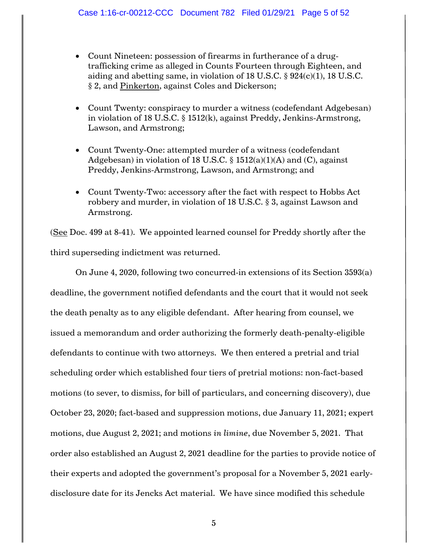- Count Nineteen: possession of firearms in furtherance of a drugtrafficking crime as alleged in Counts Fourteen through Eighteen, and aiding and abetting same, in violation of 18 U.S.C. § 924(c)(1), 18 U.S.C. § 2, and Pinkerton, against Coles and Dickerson;
- Count Twenty: conspiracy to murder a witness (codefendant Adgebesan) in violation of 18 U.S.C. § 1512(k), against Preddy, Jenkins-Armstrong, Lawson, and Armstrong;
- Count Twenty-One: attempted murder of a witness (codefendant Adgebesan) in violation of 18 U.S.C.  $\S$  1512(a)(1)(A) and (C), against Preddy, Jenkins-Armstrong, Lawson, and Armstrong; and
- Count Twenty-Two: accessory after the fact with respect to Hobbs Act robbery and murder, in violation of 18 U.S.C. § 3, against Lawson and Armstrong.

(See Doc. 499 at 8-41). We appointed learned counsel for Preddy shortly after the third superseding indictment was returned.

On June 4, 2020, following two concurred-in extensions of its Section 3593(a) deadline, the government notified defendants and the court that it would not seek the death penalty as to any eligible defendant. After hearing from counsel, we issued a memorandum and order authorizing the formerly death-penalty-eligible defendants to continue with two attorneys. We then entered a pretrial and trial scheduling order which established four tiers of pretrial motions: non-fact-based motions (to sever, to dismiss, for bill of particulars, and concerning discovery), due October 23, 2020; fact-based and suppression motions, due January 11, 2021; expert motions, due August 2, 2021; and motions *in limine*, due November 5, 2021. That order also established an August 2, 2021 deadline for the parties to provide notice of their experts and adopted the government's proposal for a November 5, 2021 earlydisclosure date for its Jencks Act material. We have since modified this schedule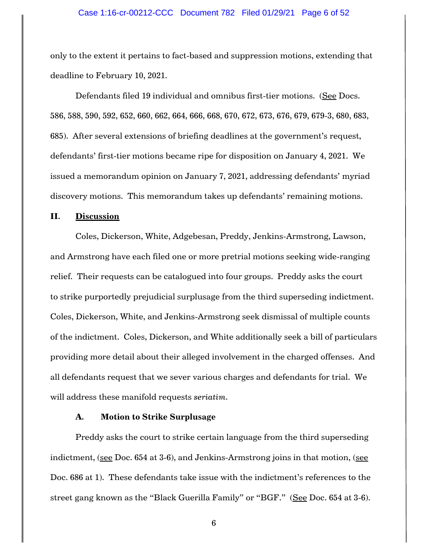#### Case 1:16-cr-00212-CCC Document 782 Filed 01/29/21 Page 6 of 52

only to the extent it pertains to fact-based and suppression motions, extending that deadline to February 10, 2021.

Defendants filed 19 individual and omnibus first-tier motions. (See Docs. 586, 588, 590, 592, 652, 660, 662, 664, 666, 668, 670, 672, 673, 676, 679, 679-3, 680, 683, 685). After several extensions of briefing deadlines at the government's request, defendants' first-tier motions became ripe for disposition on January 4, 2021. We issued a memorandum opinion on January 7, 2021, addressing defendants' myriad discovery motions. This memorandum takes up defendants' remaining motions.

### **II. Discussion**

Coles, Dickerson, White, Adgebesan, Preddy, Jenkins-Armstrong, Lawson, and Armstrong have each filed one or more pretrial motions seeking wide-ranging relief. Their requests can be catalogued into four groups. Preddy asks the court to strike purportedly prejudicial surplusage from the third superseding indictment. Coles, Dickerson, White, and Jenkins-Armstrong seek dismissal of multiple counts of the indictment. Coles, Dickerson, and White additionally seek a bill of particulars providing more detail about their alleged involvement in the charged offenses. And all defendants request that we sever various charges and defendants for trial. We will address these manifold requests *seriatim*.

### **A. Motion to Strike Surplusage**

Preddy asks the court to strike certain language from the third superseding indictment, (see Doc. 654 at 3-6), and Jenkins-Armstrong joins in that motion, (see Doc. 686 at 1). These defendants take issue with the indictment's references to the street gang known as the "Black Guerilla Family" or "BGF." (See Doc. 654 at 3-6).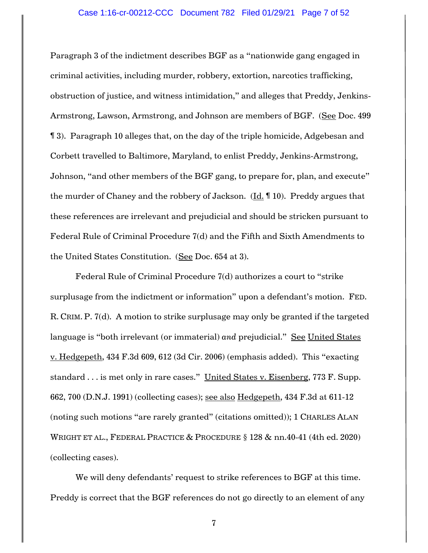Paragraph 3 of the indictment describes BGF as a "nationwide gang engaged in criminal activities, including murder, robbery, extortion, narcotics trafficking, obstruction of justice, and witness intimidation," and alleges that Preddy, Jenkins-Armstrong, Lawson, Armstrong, and Johnson are members of BGF. (See Doc. 499 ¶ 3). Paragraph 10 alleges that, on the day of the triple homicide, Adgebesan and Corbett travelled to Baltimore, Maryland, to enlist Preddy, Jenkins-Armstrong, Johnson, "and other members of the BGF gang, to prepare for, plan, and execute" the murder of Chaney and the robbery of Jackson. (Id. ¶ 10). Preddy argues that these references are irrelevant and prejudicial and should be stricken pursuant to Federal Rule of Criminal Procedure 7(d) and the Fifth and Sixth Amendments to the United States Constitution. (See Doc. 654 at 3).

Federal Rule of Criminal Procedure 7(d) authorizes a court to "strike surplusage from the indictment or information" upon a defendant's motion. FED. R. CRIM. P. 7(d). A motion to strike surplusage may only be granted if the targeted language is "both irrelevant (or immaterial) *and* prejudicial." See United States v. Hedgepeth, 434 F.3d 609, 612 (3d Cir. 2006) (emphasis added). This "exacting standard . . . is met only in rare cases." United States v. Eisenberg, 773 F. Supp. 662, 700 (D.N.J. 1991) (collecting cases); see also Hedgepeth, 434 F.3d at 611-12 (noting such motions "are rarely granted" (citations omitted)); 1 CHARLES ALAN WRIGHT ET AL., FEDERAL PRACTICE & PROCEDURE § 128 & nn.40-41 (4th ed. 2020) (collecting cases).

We will deny defendants' request to strike references to BGF at this time. Preddy is correct that the BGF references do not go directly to an element of any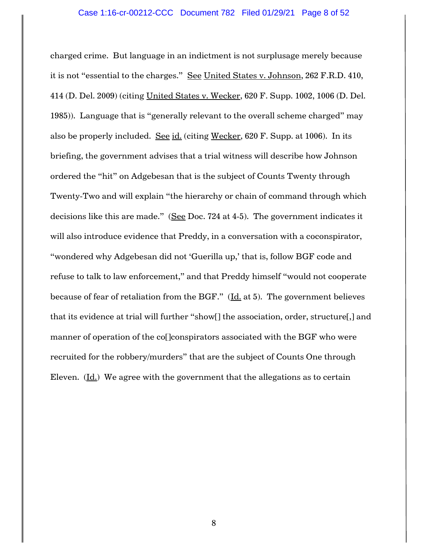charged crime. But language in an indictment is not surplusage merely because it is not "essential to the charges." See United States v. Johnson, 262 F.R.D. 410, 414 (D. Del. 2009) (citing United States v. Wecker, 620 F. Supp. 1002, 1006 (D. Del. 1985)). Language that is "generally relevant to the overall scheme charged" may also be properly included. See id. (citing Wecker, 620 F. Supp. at 1006). In its briefing, the government advises that a trial witness will describe how Johnson ordered the "hit" on Adgebesan that is the subject of Counts Twenty through Twenty-Two and will explain "the hierarchy or chain of command through which decisions like this are made." (See Doc. 724 at 4-5). The government indicates it will also introduce evidence that Preddy, in a conversation with a coconspirator, "wondered why Adgebesan did not 'Guerilla up,' that is, follow BGF code and refuse to talk to law enforcement," and that Preddy himself "would not cooperate because of fear of retaliation from the BGF." (Id. at 5). The government believes that its evidence at trial will further "show[] the association, order, structure[,] and manner of operation of the co<sup>[</sup>]conspirators associated with the BGF who were recruited for the robbery/murders" that are the subject of Counts One through Eleven. (Id.) We agree with the government that the allegations as to certain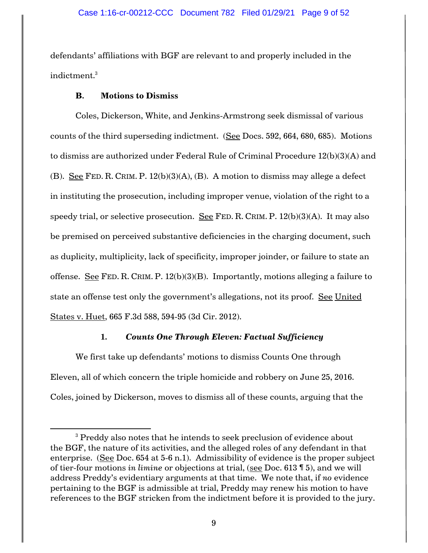defendants' affiliations with BGF are relevant to and properly included in the indictment.<sup>3</sup>

# **B. Motions to Dismiss**

 $\overline{a}$ 

Coles, Dickerson, White, and Jenkins-Armstrong seek dismissal of various counts of the third superseding indictment. (See Docs. 592, 664, 680, 685). Motions to dismiss are authorized under Federal Rule of Criminal Procedure 12(b)(3)(A) and (B). See FED. R. CRIM. P. 12(b)(3)(A), (B). A motion to dismiss may allege a defect in instituting the prosecution, including improper venue, violation of the right to a speedy trial, or selective prosecution. See FED. R. CRIM. P. 12(b)(3)(A). It may also be premised on perceived substantive deficiencies in the charging document, such as duplicity, multiplicity, lack of specificity, improper joinder, or failure to state an offense. See FED. R. CRIM. P. 12(b)(3)(B). Importantly, motions alleging a failure to state an offense test only the government's allegations, not its proof. See United States v. Huet, 665 F.3d 588, 594-95 (3d Cir. 2012).

### **1.** *Counts One Through Eleven: Factual Sufficiency*

We first take up defendants' motions to dismiss Counts One through Eleven, all of which concern the triple homicide and robbery on June 25, 2016. Coles, joined by Dickerson, moves to dismiss all of these counts, arguing that the

<sup>&</sup>lt;sup>3</sup> Preddy also notes that he intends to seek preclusion of evidence about the BGF, the nature of its activities, and the alleged roles of any defendant in that enterprise. (See Doc. 654 at 5-6 n.1). Admissibility of evidence is the proper subject of tier-four motions *in limine* or objections at trial, (see Doc. 613 ¶ 5), and we will address Preddy's evidentiary arguments at that time. We note that, if *no* evidence pertaining to the BGF is admissible at trial, Preddy may renew his motion to have references to the BGF stricken from the indictment before it is provided to the jury.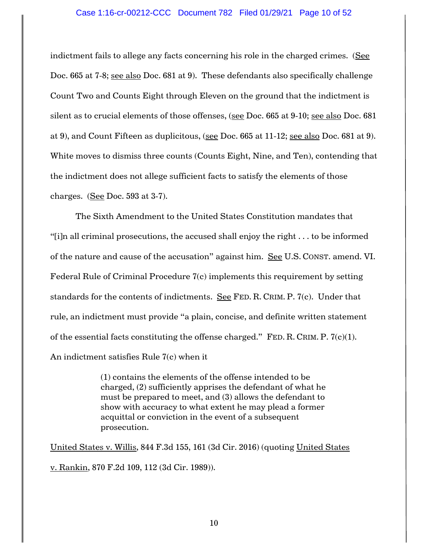### Case 1:16-cr-00212-CCC Document 782 Filed 01/29/21 Page 10 of 52

indictment fails to allege any facts concerning his role in the charged crimes. (See Doc. 665 at 7-8; see also Doc. 681 at 9). These defendants also specifically challenge Count Two and Counts Eight through Eleven on the ground that the indictment is silent as to crucial elements of those offenses, (see Doc. 665 at 9-10; see also Doc. 681 at 9), and Count Fifteen as duplicitous, (see Doc. 665 at 11-12; see also Doc. 681 at 9). White moves to dismiss three counts (Counts Eight, Nine, and Ten), contending that the indictment does not allege sufficient facts to satisfy the elements of those charges. (See Doc. 593 at 3-7).

The Sixth Amendment to the United States Constitution mandates that "[i]n all criminal prosecutions, the accused shall enjoy the right . . . to be informed of the nature and cause of the accusation" against him. See U.S. CONST. amend. VI. Federal Rule of Criminal Procedure 7(c) implements this requirement by setting standards for the contents of indictments. See FED. R. CRIM. P. 7(c). Under that rule, an indictment must provide "a plain, concise, and definite written statement of the essential facts constituting the offense charged." FED. R. CRIM. P.  $7(c)(1)$ . An indictment satisfies Rule 7(c) when it

> (1) contains the elements of the offense intended to be charged, (2) sufficiently apprises the defendant of what he must be prepared to meet, and (3) allows the defendant to show with accuracy to what extent he may plead a former acquittal or conviction in the event of a subsequent prosecution.

United States v. Willis, 844 F.3d 155, 161 (3d Cir. 2016) (quoting United States v. Rankin, 870 F.2d 109, 112 (3d Cir. 1989)).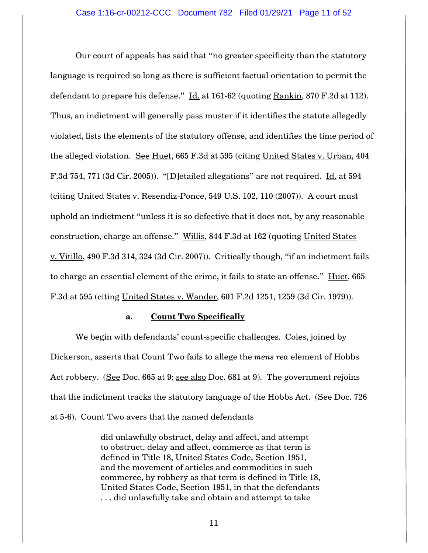Our court of appeals has said that "no greater specificity than the statutory language is required so long as there is sufficient factual orientation to permit the defendant to prepare his defense." Id. at 161-62 (quoting Rankin, 870 F.2d at 112). Thus, an indictment will generally pass muster if it identifies the statute allegedly violated, lists the elements of the statutory offense, and identifies the time period of the alleged violation. See Huet, 665 F.3d at 595 (citing United States v. Urban, 404 F.3d 754, 771 (3d Cir. 2005)). "[D]etailed allegations" are not required. Id. at 594 (citing United States v. Resendiz-Ponce, 549 U.S. 102, 110 (2007)). A court must uphold an indictment "unless it is so defective that it does not, by any reasonable construction, charge an offense." Willis, 844 F.3d at 162 (quoting United States v. Vitillo, 490 F.3d 314, 324 (3d Cir. 2007)). Critically though, "if an indictment fails to charge an essential element of the crime, it fails to state an offense." Huet, 665 F.3d at 595 (citing United States v. Wander, 601 F.2d 1251, 1259 (3d Cir. 1979)).

### **a. Count Two Specifically**

We begin with defendants' count-specific challenges. Coles, joined by Dickerson, asserts that Count Two fails to allege the *mens rea* element of Hobbs Act robbery. (See Doc. 665 at 9; see also Doc. 681 at 9). The government rejoins that the indictment tracks the statutory language of the Hobbs Act. (See Doc. 726 at 5-6). Count Two avers that the named defendants

> did unlawfully obstruct, delay and affect, and attempt to obstruct, delay and affect, commerce as that term is defined in Title 18, United States Code, Section 1951, and the movement of articles and commodities in such commerce, by robbery as that term is defined in Title 18, United States Code, Section 1951, in that the defendants . . . did unlawfully take and obtain and attempt to take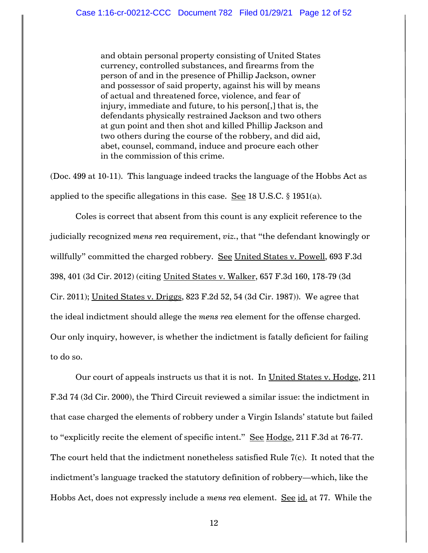and obtain personal property consisting of United States currency, controlled substances, and firearms from the person of and in the presence of Phillip Jackson, owner and possessor of said property, against his will by means of actual and threatened force, violence, and fear of injury, immediate and future, to his person[,] that is, the defendants physically restrained Jackson and two others at gun point and then shot and killed Phillip Jackson and two others during the course of the robbery, and did aid, abet, counsel, command, induce and procure each other in the commission of this crime.

(Doc. 499 at 10-11). This language indeed tracks the language of the Hobbs Act as applied to the specific allegations in this case. See 18 U.S.C.  $\S$  1951(a).

Coles is correct that absent from this count is any explicit reference to the judicially recognized *mens rea* requirement, *viz.*, that "the defendant knowingly or willfully" committed the charged robbery. See United States v. Powell, 693 F.3d 398, 401 (3d Cir. 2012) (citing United States v. Walker, 657 F.3d 160, 178-79 (3d Cir. 2011); United States v. Driggs, 823 F.2d 52, 54 (3d Cir. 1987)). We agree that the ideal indictment should allege the *mens rea* element for the offense charged. Our only inquiry, however, is whether the indictment is fatally deficient for failing to do so.

Our court of appeals instructs us that it is not. In United States v. Hodge, 211 F.3d 74 (3d Cir. 2000), the Third Circuit reviewed a similar issue: the indictment in that case charged the elements of robbery under a Virgin Islands' statute but failed to "explicitly recite the element of specific intent." See Hodge, 211 F.3d at 76-77. The court held that the indictment nonetheless satisfied Rule 7(c). It noted that the indictment's language tracked the statutory definition of robbery—which, like the Hobbs Act, does not expressly include a *mens rea* element. See id. at 77. While the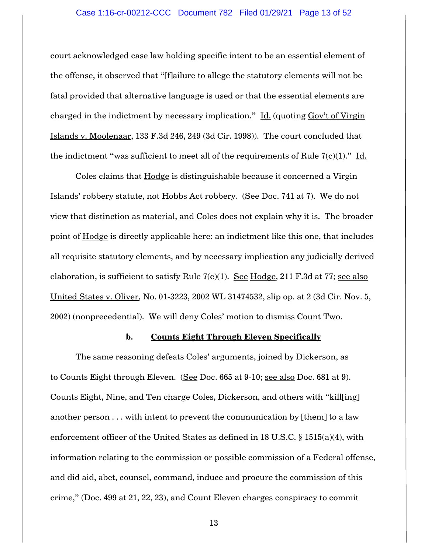### Case 1:16-cr-00212-CCC Document 782 Filed 01/29/21 Page 13 of 52

court acknowledged case law holding specific intent to be an essential element of the offense, it observed that "[f]ailure to allege the statutory elements will not be fatal provided that alternative language is used or that the essential elements are charged in the indictment by necessary implication." Id. (quoting Gov't of Virgin Islands v. Moolenaar, 133 F.3d 246, 249 (3d Cir. 1998)). The court concluded that the indictment "was sufficient to meet all of the requirements of Rule  $7(c)(1)$ ." Id.

Coles claims that **Hodge** is distinguishable because it concerned a Virgin Islands' robbery statute, not Hobbs Act robbery. (See Doc. 741 at 7). We do not view that distinction as material, and Coles does not explain why it is. The broader point of Hodge is directly applicable here: an indictment like this one, that includes all requisite statutory elements, and by necessary implication any judicially derived elaboration, is sufficient to satisfy Rule  $7(c)(1)$ . See Hodge, 211 F.3d at 77; see also United States v. Oliver, No. 01-3223, 2002 WL 31474532, slip op. at 2 (3d Cir. Nov. 5, 2002) (nonprecedential). We will deny Coles' motion to dismiss Count Two.

### **b. Counts Eight Through Eleven Specifically**

The same reasoning defeats Coles' arguments, joined by Dickerson, as to Counts Eight through Eleven. (See Doc. 665 at 9-10; see also Doc. 681 at 9). Counts Eight, Nine, and Ten charge Coles, Dickerson, and others with "kill[ing] another person . . . with intent to prevent the communication by [them] to a law enforcement officer of the United States as defined in 18 U.S.C. § 1515(a)(4), with information relating to the commission or possible commission of a Federal offense, and did aid, abet, counsel, command, induce and procure the commission of this crime," (Doc. 499 at 21, 22, 23), and Count Eleven charges conspiracy to commit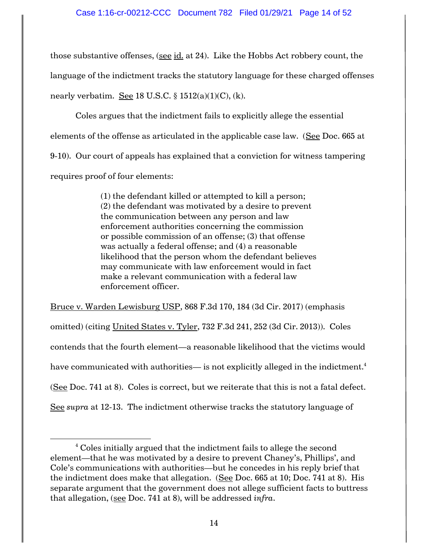those substantive offenses, (see id. at 24). Like the Hobbs Act robbery count, the language of the indictment tracks the statutory language for these charged offenses nearly verbatim. See 18 U.S.C.  $\S$  1512(a)(1)(C), (k).

Coles argues that the indictment fails to explicitly allege the essential elements of the offense as articulated in the applicable case law. (See Doc. 665 at 9-10). Our court of appeals has explained that a conviction for witness tampering requires proof of four elements:

> (1) the defendant killed or attempted to kill a person; (2) the defendant was motivated by a desire to prevent the communication between any person and law enforcement authorities concerning the commission or possible commission of an offense; (3) that offense was actually a federal offense; and (4) a reasonable likelihood that the person whom the defendant believes may communicate with law enforcement would in fact make a relevant communication with a federal law enforcement officer.

Bruce v. Warden Lewisburg USP, 868 F.3d 170, 184 (3d Cir. 2017) (emphasis omitted) (citing United States v. Tyler, 732 F.3d 241, 252 (3d Cir. 2013)). Coles contends that the fourth element—a reasonable likelihood that the victims would have communicated with authorities— is not explicitly alleged in the indictment. $^4$ (See Doc. 741 at 8). Coles is correct, but we reiterate that this is not a fatal defect. See *supra* at 12-13. The indictment otherwise tracks the statutory language of

 $\overline{\phantom{a}}$ 

<sup>&</sup>lt;sup>4</sup> Coles initially argued that the indictment fails to allege the second element—that he was motivated by a desire to prevent Chaney's, Phillips', and Cole's communications with authorities—but he concedes in his reply brief that the indictment does make that allegation. (See Doc. 665 at 10; Doc. 741 at 8). His separate argument that the government does not allege sufficient facts to buttress that allegation, (see Doc. 741 at 8), will be addressed *infra*.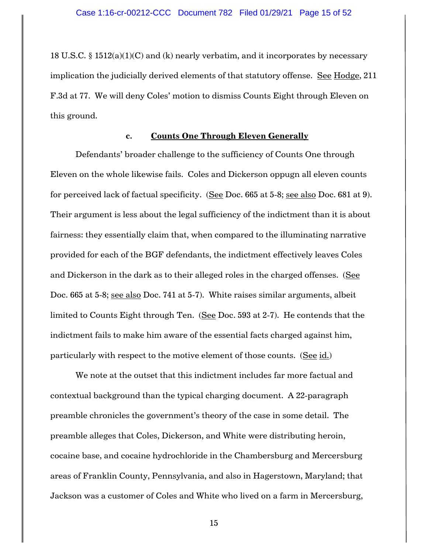18 U.S.C. § 1512(a)(1)(C) and (k) nearly verbatim, and it incorporates by necessary implication the judicially derived elements of that statutory offense. See Hodge, 211 F.3d at 77. We will deny Coles' motion to dismiss Counts Eight through Eleven on this ground.

# **c. Counts One Through Eleven Generally**

Defendants' broader challenge to the sufficiency of Counts One through Eleven on the whole likewise fails. Coles and Dickerson oppugn all eleven counts for perceived lack of factual specificity. (See Doc. 665 at 5-8; see also Doc. 681 at 9). Their argument is less about the legal sufficiency of the indictment than it is about fairness: they essentially claim that, when compared to the illuminating narrative provided for each of the BGF defendants, the indictment effectively leaves Coles and Dickerson in the dark as to their alleged roles in the charged offenses. (See Doc. 665 at 5-8; see also Doc. 741 at 5-7). White raises similar arguments, albeit limited to Counts Eight through Ten. (See Doc. 593 at 2-7). He contends that the indictment fails to make him aware of the essential facts charged against him, particularly with respect to the motive element of those counts. (See id.)

We note at the outset that this indictment includes far more factual and contextual background than the typical charging document. A 22-paragraph preamble chronicles the government's theory of the case in some detail. The preamble alleges that Coles, Dickerson, and White were distributing heroin, cocaine base, and cocaine hydrochloride in the Chambersburg and Mercersburg areas of Franklin County, Pennsylvania, and also in Hagerstown, Maryland; that Jackson was a customer of Coles and White who lived on a farm in Mercersburg,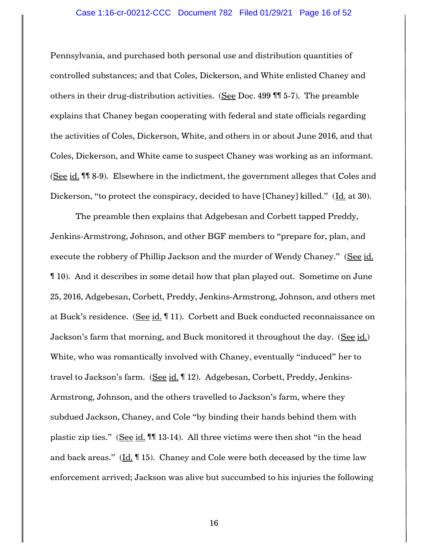### Case 1:16-cr-00212-CCC Document 782 Filed 01/29/21 Page 16 of 52

Pennsylvania, and purchased both personal use and distribution quantities of controlled substances; and that Coles, Dickerson, and White enlisted Chaney and others in their drug-distribution activities. (See Doc. 499 ¶¶ 5-7). The preamble explains that Chaney began cooperating with federal and state officials regarding the activities of Coles, Dickerson, White, and others in or about June 2016, and that Coles, Dickerson, and White came to suspect Chaney was working as an informant. (See id. ¶¶ 8-9). Elsewhere in the indictment, the government alleges that Coles and Dickerson, "to protect the conspiracy, decided to have [Chaney] killed." (Id. at 30).

The preamble then explains that Adgebesan and Corbett tapped Preddy, Jenkins-Armstrong, Johnson, and other BGF members to "prepare for, plan, and execute the robbery of Phillip Jackson and the murder of Wendy Chaney." (See id. ¶ 10). And it describes in some detail how that plan played out. Sometime on June 25, 2016, Adgebesan, Corbett, Preddy, Jenkins-Armstrong, Johnson, and others met at Buck's residence. (See id. ¶ 11). Corbett and Buck conducted reconnaissance on Jackson's farm that morning, and Buck monitored it throughout the day. (See id.) White, who was romantically involved with Chaney, eventually "induced" her to travel to Jackson's farm. (See id. ¶ 12). Adgebesan, Corbett, Preddy, Jenkins-Armstrong, Johnson, and the others travelled to Jackson's farm, where they subdued Jackson, Chaney, and Cole "by binding their hands behind them with plastic zip ties." (See id. III 13-14). All three victims were then shot "in the head and back areas." (Id. ¶ 15). Chaney and Cole were both deceased by the time law enforcement arrived; Jackson was alive but succumbed to his injuries the following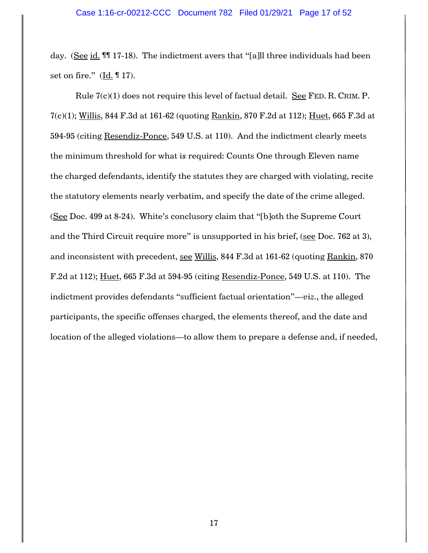day. (See id. ¶¶ 17-18). The indictment avers that "[a]ll three individuals had been set on fire."  $(\underline{Id}$ .  $\P$  17).

Rule  $7(c)(1)$  does not require this level of factual detail. See FED. R. CRIM. P. 7(c)(1); Willis, 844 F.3d at 161-62 (quoting Rankin, 870 F.2d at 112); Huet, 665 F.3d at 594-95 (citing Resendiz-Ponce, 549 U.S. at 110). And the indictment clearly meets the minimum threshold for what *is* required: Counts One through Eleven name the charged defendants, identify the statutes they are charged with violating, recite the statutory elements nearly verbatim, and specify the date of the crime alleged. (See Doc. 499 at 8-24). White's conclusory claim that "[b]oth the Supreme Court and the Third Circuit require more" is unsupported in his brief, (see Doc. 762 at 3), and inconsistent with precedent, see Willis, 844 F.3d at 161-62 (quoting Rankin, 870 F.2d at 112); Huet, 665 F.3d at 594-95 (citing Resendiz-Ponce, 549 U.S. at 110). The indictment provides defendants "sufficient factual orientation"—*viz.*, the alleged participants, the specific offenses charged, the elements thereof, and the date and location of the alleged violations—to allow them to prepare a defense and, if needed,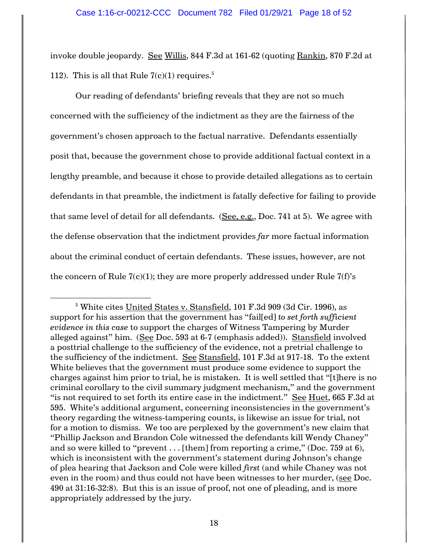invoke double jeopardy. See Willis, 844 F.3d at 161-62 (quoting Rankin, 870 F.2d at 112). This is all that Rule  $7(c)(1)$  requires.<sup>5</sup>

Our reading of defendants' briefing reveals that they are not so much concerned with the sufficiency of the indictment as they are the fairness of the government's chosen approach to the factual narrative. Defendants essentially posit that, because the government chose to provide additional factual context in a lengthy preamble, and because it chose to provide detailed allegations as to certain defendants in that preamble, the indictment is fatally defective for failing to provide that same level of detail for all defendants. (See, e.g., Doc. 741 at 5). We agree with the defense observation that the indictment provides *far* more factual information about the criminal conduct of certain defendants. These issues, however, are not the concern of Rule  $7(c)(1)$ ; they are more properly addressed under Rule  $7(f)$ 's

 $\overline{\phantom{a}}$ 

 $5$  White cites United States v. Stansfield, 101 F.3d 909 (3d Cir. 1996), as support for his assertion that the government has "fail[ed] *to set forth sufficient evidence in this case* to support the charges of Witness Tampering by Murder alleged against" him. (See Doc. 593 at 6-7 (emphasis added)). Stansfield involved a posttrial challenge to the sufficiency of the evidence, not a pretrial challenge to the sufficiency of the indictment. See Stansfield, 101 F.3d at 917-18. To the extent White believes that the government must produce some evidence to support the charges against him prior to trial, he is mistaken. It is well settled that "[t]here is no criminal corollary to the civil summary judgment mechanism," and the government "is not required to set forth its entire case in the indictment." See Huet, 665 F.3d at 595. White's additional argument, concerning inconsistencies in the government's theory regarding the witness-tampering counts, is likewise an issue for trial, not for a motion to dismiss. We too are perplexed by the government's new claim that "Phillip Jackson and Brandon Cole witnessed the defendants kill Wendy Chaney" and so were killed to "prevent  $\dots$  [them] from reporting a crime," (Doc. 759 at 6), which is inconsistent with the government's statement during Johnson's change of plea hearing that Jackson and Cole were killed *first* (and while Chaney was not even in the room) and thus could not have been witnesses to her murder, (see Doc. 490 at 31:16-32:8). But this is an issue of proof, not one of pleading, and is more appropriately addressed by the jury.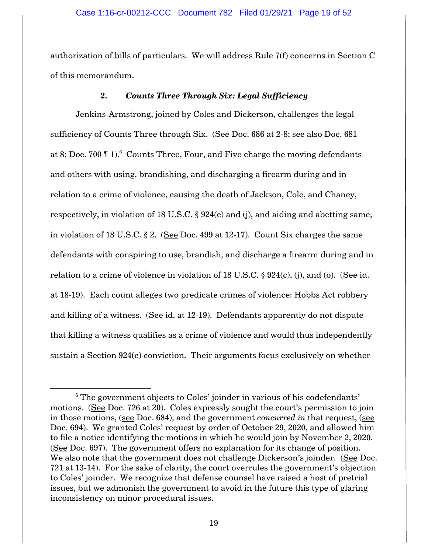authorization of bills of particulars. We will address Rule 7(f) concerns in Section C of this memorandum.

### **2.** *Counts Three Through Six: Legal Sufficiency*

Jenkins-Armstrong, joined by Coles and Dickerson, challenges the legal sufficiency of Counts Three through Six. (See Doc. 686 at 2-8; see also Doc. 681 at 8; Doc. 700  $\P$  1).<sup>6</sup> Counts Three, Four, and Five charge the moving defendants and others with using, brandishing, and discharging a firearm during and in relation to a crime of violence, causing the death of Jackson, Cole, and Chaney, respectively, in violation of 18 U.S.C. § 924(c) and (j), and aiding and abetting same, in violation of 18 U.S.C. § 2. (See Doc. 499 at 12-17). Count Six charges the same defendants with conspiring to use, brandish, and discharge a firearm during and in relation to a crime of violence in violation of 18 U.S.C.  $\S$  924(c), (j), and (o). (See id. at 18-19). Each count alleges two predicate crimes of violence: Hobbs Act robbery and killing of a witness. (See id. at 12-19). Defendants apparently do not dispute that killing a witness qualifies as a crime of violence and would thus independently sustain a Section 924(c) conviction. Their arguments focus exclusively on whether

 $\overline{\phantom{a}}$ 

 $6$  The government objects to Coles' joinder in various of his codefendants' motions. (See Doc. 726 at 20). Coles expressly sought the court's permission to join in those motions, (see Doc. 684), and the government *concurred in* that request, (see Doc. 694). We granted Coles' request by order of October 29, 2020, and allowed him to file a notice identifying the motions in which he would join by November 2, 2020. (See Doc. 697). The government offers no explanation for its change of position. We also note that the government does not challenge Dickerson's joinder. (See Doc. 721 at 13-14). For the sake of clarity, the court overrules the government's objection to Coles' joinder. We recognize that defense counsel have raised a host of pretrial issues, but we admonish the government to avoid in the future this type of glaring inconsistency on minor procedural issues.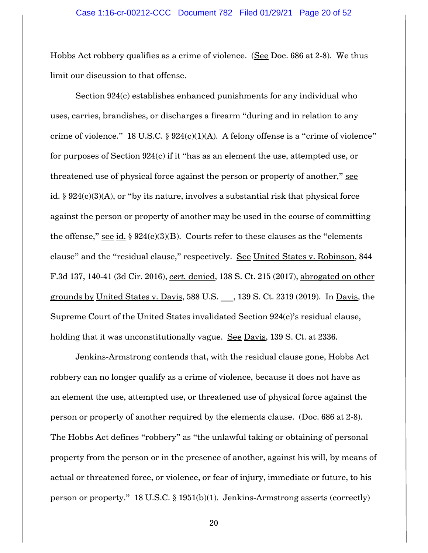Hobbs Act robbery qualifies as a crime of violence. (See Doc. 686 at 2-8). We thus limit our discussion to that offense.

Section 924(c) establishes enhanced punishments for any individual who uses, carries, brandishes, or discharges a firearm "during and in relation to any crime of violence." 18 U.S.C.  $\S 924(c)(1)(A)$ . A felony offense is a "crime of violence" for purposes of Section 924(c) if it "has as an element the use, attempted use, or threatened use of physical force against the person or property of another," see id.  $\S 924(c)(3)(A)$ , or "by its nature, involves a substantial risk that physical force against the person or property of another may be used in the course of committing the offense," see id.  $\S 924(c)(3)(B)$ . Courts refer to these clauses as the "elements" clause" and the "residual clause," respectively. See United States v. Robinson, 844 F.3d 137, 140-41 (3d Cir. 2016), *cert.* denied, 138 S. Ct. 215 (2017), abrogated on other grounds by United States v. Davis, 588 U.S. , 139 S. Ct. 2319 (2019). In Davis, the Supreme Court of the United States invalidated Section 924(c)'s residual clause, holding that it was unconstitutionally vague. See Davis, 139 S. Ct. at 2336.

Jenkins-Armstrong contends that, with the residual clause gone, Hobbs Act robbery can no longer qualify as a crime of violence, because it does not have as an element the use, attempted use, or threatened use of physical force against the person or property of another required by the elements clause. (Doc. 686 at 2-8). The Hobbs Act defines "robbery" as "the unlawful taking or obtaining of personal property from the person or in the presence of another, against his will, by means of actual or threatened force, or violence, or fear of injury, immediate or future, to his person or property." 18 U.S.C. § 1951(b)(1). Jenkins-Armstrong asserts (correctly)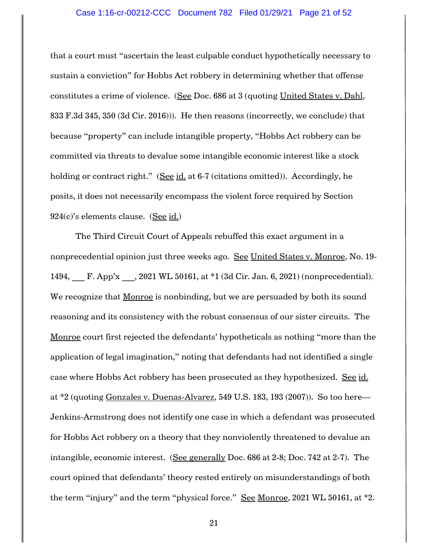### Case 1:16-cr-00212-CCC Document 782 Filed 01/29/21 Page 21 of 52

that a court must "ascertain the least culpable conduct hypothetically necessary to sustain a conviction" for Hobbs Act robbery in determining whether that offense constitutes a crime of violence. (See Doc. 686 at 3 (quoting United States v. Dahl, 833 F.3d 345, 350 (3d Cir. 2016))). He then reasons (incorrectly, we conclude) that because "property" can include intangible property, "Hobbs Act robbery can be committed via threats to devalue some intangible economic interest like a stock holding or contract right." (See id. at 6-7 (citations omitted)). Accordingly, he posits, it does not necessarily encompass the violent force required by Section 924(c)'s elements clause. (See id.)

The Third Circuit Court of Appeals rebuffed this exact argument in a nonprecedential opinion just three weeks ago. See United States v. Monroe, No. 19-1494, \_\_\_ F. App'x \_\_\_, 2021 WL 50161, at \*1 (3d Cir. Jan. 6, 2021) (nonprecedential). We recognize that Monroe is nonbinding, but we are persuaded by both its sound reasoning and its consistency with the robust consensus of our sister circuits. The Monroe court first rejected the defendants' hypotheticals as nothing "more than the application of legal imagination," noting that defendants had not identified a single case where Hobbs Act robbery has been prosecuted as they hypothesized. See id. at \*2 (quoting Gonzales v. Duenas-Alvarez, 549 U.S. 183, 193 (2007)). So too here— Jenkins-Armstrong does not identify one case in which a defendant was prosecuted for Hobbs Act robbery on a theory that they nonviolently threatened to devalue an intangible, economic interest. (See generally Doc. 686 at 2-8; Doc. 742 at 2-7). The court opined that defendants' theory rested entirely on misunderstandings of both the term "injury" and the term "physical force." See Monroe, 2021 WL 50161, at \*2.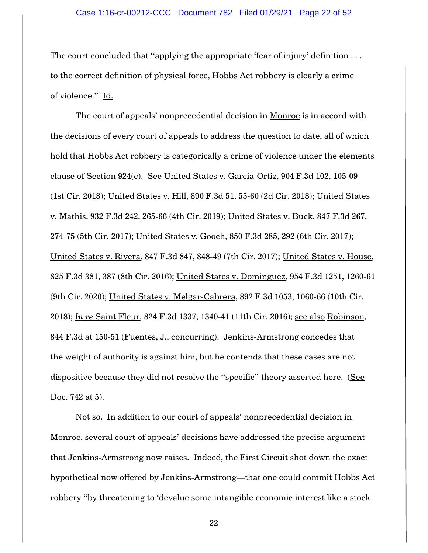The court concluded that "applying the appropriate 'fear of injury' definition ... to the correct definition of physical force, Hobbs Act robbery is clearly a crime of violence." Id.

The court of appeals' nonprecedential decision in Monroe is in accord with the decisions of every court of appeals to address the question to date, all of which hold that Hobbs Act robbery is categorically a crime of violence under the elements clause of Section 924(c). See United States v. García-Ortiz, 904 F.3d 102, 105-09 (1st Cir. 2018); United States v. Hill, 890 F.3d 51, 55-60 (2d Cir. 2018); United States v. Mathis, 932 F.3d 242, 265-66 (4th Cir. 2019); United States v. Buck, 847 F.3d 267, 274-75 (5th Cir. 2017); United States v. Gooch, 850 F.3d 285, 292 (6th Cir. 2017); United States v. Rivera, 847 F.3d 847, 848-49 (7th Cir. 2017); United States v. House, 825 F.3d 381, 387 (8th Cir. 2016); United States v. Dominguez, 954 F.3d 1251, 1260-61 (9th Cir. 2020); United States v. Melgar-Cabrera, 892 F.3d 1053, 1060-66 (10th Cir. 2018); *In re* Saint Fleur, 824 F.3d 1337, 1340-41 (11th Cir. 2016); see also Robinson, 844 F.3d at 150-51 (Fuentes, J., concurring). Jenkins-Armstrong concedes that the weight of authority is against him, but he contends that these cases are not dispositive because they did not resolve the "specific" theory asserted here. (See Doc. 742 at 5).

Not so. In addition to our court of appeals' nonprecedential decision in Monroe, several court of appeals' decisions have addressed the precise argument that Jenkins-Armstrong now raises. Indeed, the First Circuit shot down the exact hypothetical now offered by Jenkins-Armstrong—that one could commit Hobbs Act robbery "by threatening to 'devalue some intangible economic interest like a stock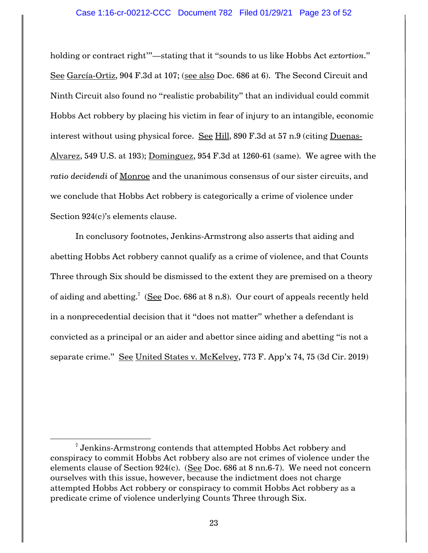### Case 1:16-cr-00212-CCC Document 782 Filed 01/29/21 Page 23 of 52

holding or contract right'"—stating that it "sounds to us like Hobbs Act *extortion*." See García-Ortiz, 904 F.3d at 107; (see also Doc. 686 at 6). The Second Circuit and Ninth Circuit also found no "realistic probability" that an individual could commit Hobbs Act robbery by placing his victim in fear of injury to an intangible, economic interest without using physical force. See Hill, 890 F.3d at 57 n.9 (citing Duenas-Alvarez, 549 U.S. at 193); Dominguez, 954 F.3d at 1260-61 (same). We agree with the *ratio decidendi* of Monroe and the unanimous consensus of our sister circuits, and we conclude that Hobbs Act robbery is categorically a crime of violence under Section 924(c)'s elements clause.

In conclusory footnotes, Jenkins-Armstrong also asserts that aiding and abetting Hobbs Act robbery cannot qualify as a crime of violence, and that Counts Three through Six should be dismissed to the extent they are premised on a theory of aiding and abetting.<sup>7</sup> (See Doc. 686 at 8 n.8). Our court of appeals recently held in a nonprecedential decision that it "does not matter" whether a defendant is convicted as a principal or an aider and abettor since aiding and abetting "is not a separate crime." See United States v. McKelvey, 773 F. App'x 74, 75 (3d Cir. 2019)

 $\overline{\phantom{a}}$ 

 $^7$  Jenkins-Armstrong contends that attempted Hobbs Act robbery and conspiracy to commit Hobbs Act robbery also are not crimes of violence under the elements clause of Section 924(c). (See Doc. 686 at 8 nn.6-7). We need not concern ourselves with this issue, however, because the indictment does not charge attempted Hobbs Act robbery or conspiracy to commit Hobbs Act robbery as a predicate crime of violence underlying Counts Three through Six.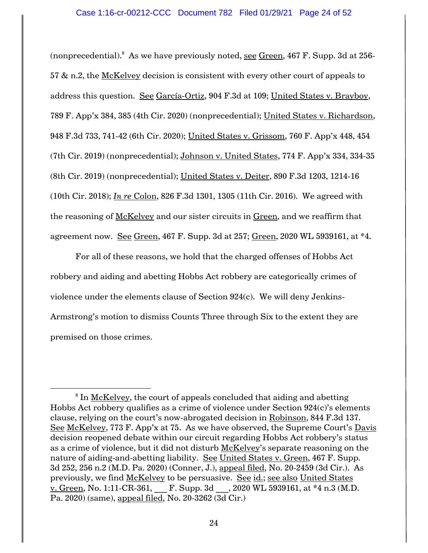(nonprecedential). $^8$  As we have previously noted, <u>see Green</u>, 467 F. Supp. 3d at 256-57  $\&$  n.2, the McKelvey decision is consistent with every other court of appeals to address this question. See García-Ortiz, 904 F.3d at 109; United States v. Brayboy, 789 F. App'x 384, 385 (4th Cir. 2020) (nonprecedential); United States v. Richardson, 948 F.3d 733, 741-42 (6th Cir. 2020); United States v. Grissom, 760 F. App'x 448, 454 (7th Cir. 2019) (nonprecedential); Johnson v. United States, 774 F. App'x 334, 334-35 (8th Cir. 2019) (nonprecedential); United States v. Deiter, 890 F.3d 1203, 1214-16 (10th Cir. 2018); *In re* Colon, 826 F.3d 1301, 1305 (11th Cir. 2016). We agreed with the reasoning of McKelvey and our sister circuits in Green, and we reaffirm that agreement now. See Green, 467 F. Supp. 3d at 257; Green, 2020 WL 5939161, at \*4.

For all of these reasons, we hold that the charged offenses of Hobbs Act robbery and aiding and abetting Hobbs Act robbery are categorically crimes of violence under the elements clause of Section 924(c). We will deny Jenkins-Armstrong's motion to dismiss Counts Three through Six to the extent they are premised on those crimes.

 $\overline{\phantom{a}}$ 

 $^8$  In <u>McKelvey,</u> the court of appeals concluded that aiding and abetting Hobbs Act robbery qualifies as a crime of violence under Section 924(c)'s elements clause, relying on the court's now-abrogated decision in Robinson, 844 F.3d 137. See McKelvey, 773 F. App'x at 75. As we have observed, the Supreme Court's Davis decision reopened debate within our circuit regarding Hobbs Act robbery's status as a crime of violence, but it did not disturb McKelvey's separate reasoning on the nature of aiding-and-abetting liability. See United States v. Green, 467 F. Supp. 3d 252, 256 n.2 (M.D. Pa. 2020) (Conner, J.), appeal filed, No. 20-2459 (3d Cir.). As previously, we find McKelvey to be persuasive. See id.; see also United States v. Green, No. 1:11-CR-361, F. Supp. 3d  $, 2020$  WL 5939161, at  $*4$  n.3 (M.D. Pa. 2020) (same), appeal filed, No. 20-3262 (3d Cir.)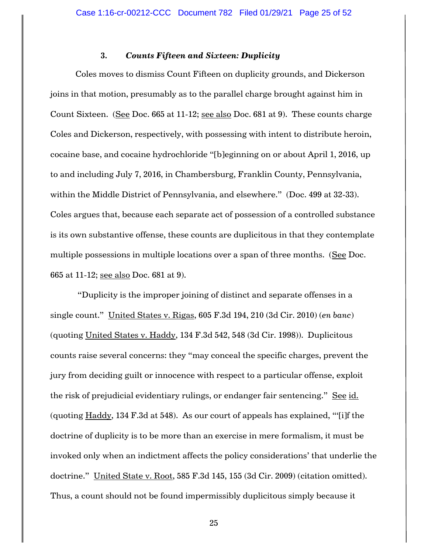# **3.** *Counts Fifteen and Sixteen: Duplicity*

Coles moves to dismiss Count Fifteen on duplicity grounds, and Dickerson joins in that motion, presumably as to the parallel charge brought against him in Count Sixteen. (See Doc. 665 at 11-12; see also Doc. 681 at 9). These counts charge Coles and Dickerson, respectively, with possessing with intent to distribute heroin, cocaine base, and cocaine hydrochloride "[b]eginning on or about April 1, 2016, up to and including July 7, 2016, in Chambersburg, Franklin County, Pennsylvania, within the Middle District of Pennsylvania, and elsewhere." (Doc. 499 at 32-33). Coles argues that, because each separate act of possession of a controlled substance is its own substantive offense, these counts are duplicitous in that they contemplate multiple possessions in multiple locations over a span of three months. (See Doc. 665 at 11-12; see also Doc. 681 at 9).

"Duplicity is the improper joining of distinct and separate offenses in a single count." United States v. Rigas, 605 F.3d 194, 210 (3d Cir. 2010) (*en banc*) (quoting United States v. Haddy, 134 F.3d 542, 548 (3d Cir. 1998)). Duplicitous counts raise several concerns: they "may conceal the specific charges, prevent the jury from deciding guilt or innocence with respect to a particular offense, exploit the risk of prejudicial evidentiary rulings, or endanger fair sentencing." See id. (quoting Haddy, 134 F.3d at 548). As our court of appeals has explained, "'[i]f the doctrine of duplicity is to be more than an exercise in mere formalism, it must be invoked only when an indictment affects the policy considerations' that underlie the doctrine." United State v. Root, 585 F.3d 145, 155 (3d Cir. 2009) (citation omitted). Thus, a count should not be found impermissibly duplicitous simply because it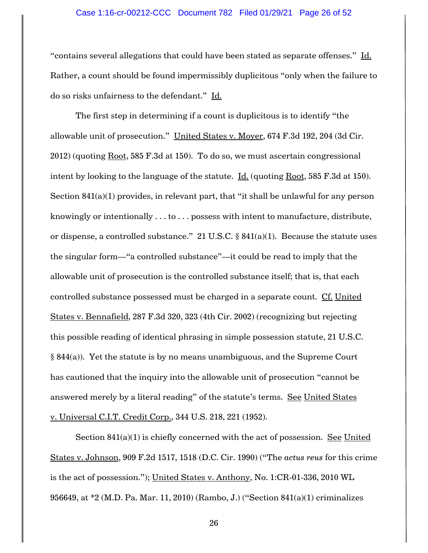### Case 1:16-cr-00212-CCC Document 782 Filed 01/29/21 Page 26 of 52

"contains several allegations that could have been stated as separate offenses." Id. Rather, a count should be found impermissibly duplicitous "only when the failure to do so risks unfairness to the defendant." Id.

The first step in determining if a count is duplicitous is to identify "the allowable unit of prosecution." United States v. Moyer, 674 F.3d 192, 204 (3d Cir. 2012) (quoting Root, 585 F.3d at 150). To do so, we must ascertain congressional intent by looking to the language of the statute.  $\underline{\text{Id.}}$  (quoting Root, 585 F.3d at 150). Section 841(a)(1) provides, in relevant part, that "it shall be unlawful for any person knowingly or intentionally . . . to . . . possess with intent to manufacture, distribute, or dispense, a controlled substance." 21 U.S.C. § 841(a)(1). Because the statute uses the singular form—"a controlled substance"—it could be read to imply that the allowable unit of prosecution is the controlled substance itself; that is, that each controlled substance possessed must be charged in a separate count. Cf. United States v. Bennafield, 287 F.3d 320, 323 (4th Cir. 2002) (recognizing but rejecting this possible reading of identical phrasing in simple possession statute, 21 U.S.C. § 844(a)). Yet the statute is by no means unambiguous, and the Supreme Court has cautioned that the inquiry into the allowable unit of prosecution "cannot be answered merely by a literal reading" of the statute's terms. See United States v. Universal C.I.T. Credit Corp., 344 U.S. 218, 221 (1952).

Section 841(a)(1) is chiefly concerned with the act of possession. See United States v. Johnson, 909 F.2d 1517, 1518 (D.C. Cir. 1990) ("The *actus reus* for this crime is the act of possession."); United States v. Anthony, No. 1:CR-01-336, 2010 WL 956649, at \*2 (M.D. Pa. Mar. 11, 2010) (Rambo, J.) ("Section 841(a)(1) criminalizes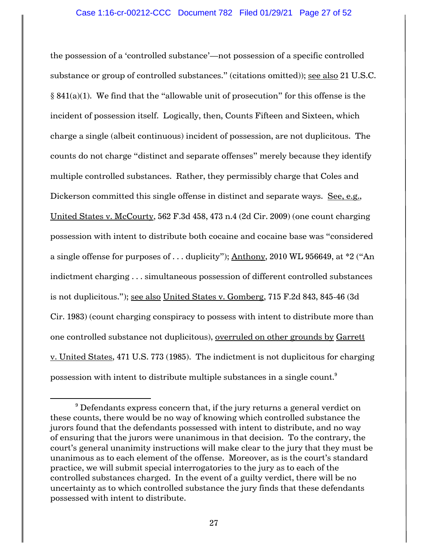the possession of a 'controlled substance'—not possession of a specific controlled substance or group of controlled substances." (citations omitted)); see also 21 U.S.C.  $\S$  841(a)(1). We find that the "allowable unit of prosecution" for this offense is the incident of possession itself. Logically, then, Counts Fifteen and Sixteen, which charge a single (albeit continuous) incident of possession, are not duplicitous. The counts do not charge "distinct and separate offenses" merely because they identify multiple controlled substances. Rather, they permissibly charge that Coles and Dickerson committed this single offense in distinct and separate ways. See, e.g., United States v. McCourty, 562 F.3d 458, 473 n.4 (2d Cir. 2009) (one count charging possession with intent to distribute both cocaine and cocaine base was "considered a single offense for purposes of  $\dots$  duplicity"); Anthony, 2010 WL 956649, at  $*2$  ("An indictment charging . . . simultaneous possession of different controlled substances is not duplicitous."); see also United States v. Gomberg, 715 F.2d 843, 845-46 (3d Cir. 1983) (count charging conspiracy to possess with intent to distribute more than one controlled substance not duplicitous), overruled on other grounds by Garrett v. United States, 471 U.S. 773 (1985). The indictment is not duplicitous for charging possession with intent to distribute multiple substances in a single count.<sup>9</sup>

 $\overline{\phantom{a}}$ 

 $9$  Defendants express concern that, if the jury returns a general verdict on these counts, there would be no way of knowing which controlled substance the jurors found that the defendants possessed with intent to distribute, and no way of ensuring that the jurors were unanimous in that decision. To the contrary, the court's general unanimity instructions will make clear to the jury that they must be unanimous as to each element of the offense. Moreover, as is the court's standard practice, we will submit special interrogatories to the jury as to each of the controlled substances charged. In the event of a guilty verdict, there will be no uncertainty as to which controlled substance the jury finds that these defendants possessed with intent to distribute.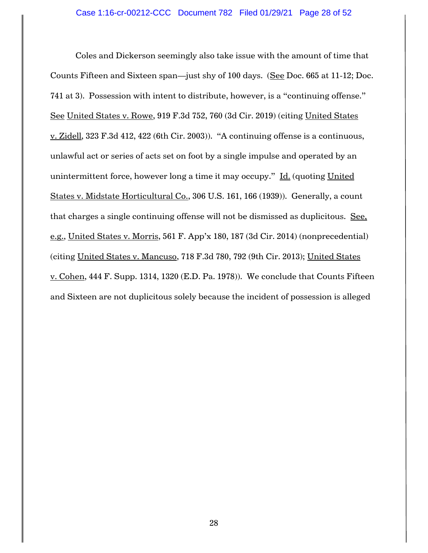Coles and Dickerson seemingly also take issue with the amount of time that Counts Fifteen and Sixteen span—just shy of 100 days. (See Doc. 665 at 11-12; Doc. 741 at 3). Possession with intent to distribute, however, is a "continuing offense." See United States v. Rowe, 919 F.3d 752, 760 (3d Cir. 2019) (citing United States v. Zidell, 323 F.3d 412, 422 (6th Cir. 2003)). "A continuing offense is a continuous, unlawful act or series of acts set on foot by a single impulse and operated by an unintermittent force, however long a time it may occupy." Id. (quoting United States v. Midstate Horticultural Co., 306 U.S. 161, 166 (1939)). Generally, a count that charges a single continuing offense will not be dismissed as duplicitous. See, e.g., United States v. Morris, 561 F. App'x 180, 187 (3d Cir. 2014) (nonprecedential) (citing United States v. Mancuso, 718 F.3d 780, 792 (9th Cir. 2013); United States v. Cohen, 444 F. Supp. 1314, 1320 (E.D. Pa. 1978)). We conclude that Counts Fifteen and Sixteen are not duplicitous solely because the incident of possession is alleged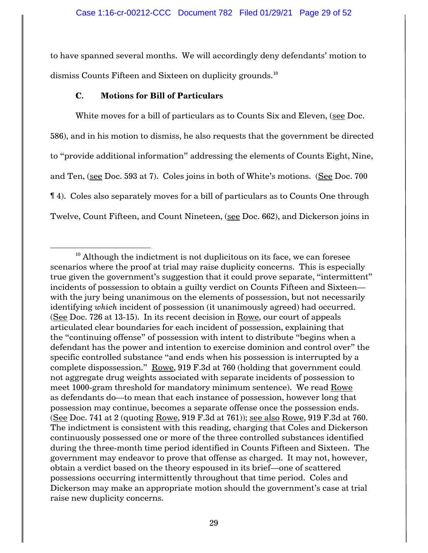to have spanned several months. We will accordingly deny defendants' motion to dismiss Counts Fifteen and Sixteen on duplicity grounds.<sup>10</sup>

# **C. Motions for Bill of Particulars**

 $\overline{\phantom{a}}$ 

White moves for a bill of particulars as to Counts Six and Eleven, (see Doc. 586), and in his motion to dismiss, he also requests that the government be directed to "provide additional information" addressing the elements of Counts Eight, Nine, and Ten, (see Doc. 593 at 7). Coles joins in both of White's motions. (See Doc. 700 ¶ 4). Coles also separately moves for a bill of particulars as to Counts One through Twelve, Count Fifteen, and Count Nineteen, (see Doc. 662), and Dickerson joins in

 $10$  Although the indictment is not duplicitous on its face, we can foresee scenarios where the proof at trial may raise duplicity concerns. This is especially true given the government's suggestion that it could prove separate, "intermittent" incidents of possession to obtain a guilty verdict on Counts Fifteen and Sixteen with the jury being unanimous on the elements of possession, but not necessarily identifying *which* incident of possession (it unanimously agreed) had occurred.  $(See Doc. 726 at 13-15)$ . In its recent decision in Rowe, our court of appeals articulated clear boundaries for each incident of possession, explaining that the "continuing offense" of possession with intent to distribute "begins when a defendant has the power and intention to exercise dominion and control over" the specific controlled substance "and ends when his possession is interrupted by a complete dispossession." Rowe, 919 F.3d at 760 (holding that government could not aggregate drug weights associated with separate incidents of possession to meet 1000-gram threshold for mandatory minimum sentence). We read Rowe as defendants do—to mean that each instance of possession, however long that possession may continue, becomes a separate offense once the possession ends. (See Doc. 741 at 2 (quoting Rowe, 919 F.3d at 761)); see also Rowe, 919 F.3d at 760. The indictment is consistent with this reading, charging that Coles and Dickerson continuously possessed one or more of the three controlled substances identified during the three-month time period identified in Counts Fifteen and Sixteen. The government may endeavor to prove that offense as charged. It may not, however, obtain a verdict based on the theory espoused in its brief—one of scattered possessions occurring intermittently throughout that time period. Coles and Dickerson may make an appropriate motion should the government's case at trial raise new duplicity concerns.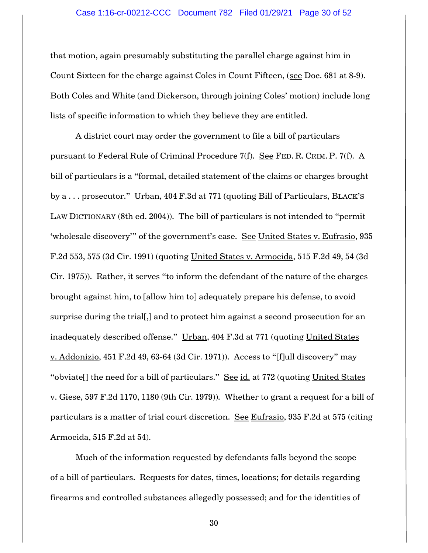that motion, again presumably substituting the parallel charge against him in Count Sixteen for the charge against Coles in Count Fifteen, (see Doc. 681 at 8-9). Both Coles and White (and Dickerson, through joining Coles' motion) include long lists of specific information to which they believe they are entitled.

A district court may order the government to file a bill of particulars pursuant to Federal Rule of Criminal Procedure 7(f). See FED. R. CRIM. P. 7(f). A bill of particulars is a "formal, detailed statement of the claims or charges brought by a . . . prosecutor." Urban, 404 F.3d at 771 (quoting Bill of Particulars, BLACK'S LAW DICTIONARY (8th ed. 2004)). The bill of particulars is not intended to "permit 'wholesale discovery'" of the government's case. See United States v. Eufrasio, 935 F.2d 553, 575 (3d Cir. 1991) (quoting United States v. Armocida, 515 F.2d 49, 54 (3d Cir. 1975)). Rather, it serves "to inform the defendant of the nature of the charges brought against him, to [allow him to] adequately prepare his defense, to avoid surprise during the trial[,] and to protect him against a second prosecution for an inadequately described offense." Urban, 404 F.3d at 771 (quoting United States v. Addonizio, 451 F.2d 49, 63-64 (3d Cir. 1971)). Access to "[f]ull discovery" may "obviate[] the need for a bill of particulars." See id. at 772 (quoting United States v. Giese, 597 F.2d 1170, 1180 (9th Cir. 1979)). Whether to grant a request for a bill of particulars is a matter of trial court discretion. See Eufrasio, 935 F.2d at 575 (citing Armocida, 515 F.2d at 54).

Much of the information requested by defendants falls beyond the scope of a bill of particulars. Requests for dates, times, locations; for details regarding firearms and controlled substances allegedly possessed; and for the identities of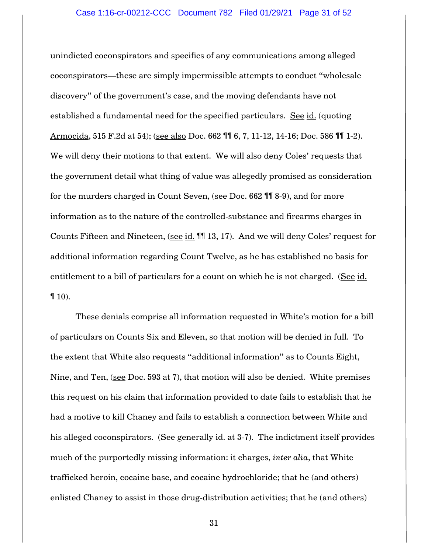unindicted coconspirators and specifics of any communications among alleged coconspirators—these are simply impermissible attempts to conduct "wholesale discovery" of the government's case, and the moving defendants have not established a fundamental need for the specified particulars. See id. (quoting Armocida, 515 F.2d at 54); (see also Doc. 662 ¶¶ 6, 7, 11-12, 14-16; Doc. 586 ¶¶ 1-2). We will deny their motions to that extent. We will also deny Coles' requests that the government detail what thing of value was allegedly promised as consideration for the murders charged in Count Seven, (see Doc. 662 ¶¶ 8-9), and for more information as to the nature of the controlled-substance and firearms charges in Counts Fifteen and Nineteen, (see id. 11 13, 17). And we will deny Coles' request for additional information regarding Count Twelve, as he has established no basis for entitlement to a bill of particulars for a count on which he is not charged. (See id.  $\P$  10).

These denials comprise all information requested in White's motion for a bill of particulars on Counts Six and Eleven, so that motion will be denied in full. To the extent that White also requests "additional information" as to Counts Eight, Nine, and Ten, (see Doc. 593 at 7), that motion will also be denied. White premises this request on his claim that information provided to date fails to establish that he had a motive to kill Chaney and fails to establish a connection between White and his alleged coconspirators. (See generally id. at 3-7). The indictment itself provides much of the purportedly missing information: it charges, *inter alia*, that White trafficked heroin, cocaine base, and cocaine hydrochloride; that he (and others) enlisted Chaney to assist in those drug-distribution activities; that he (and others)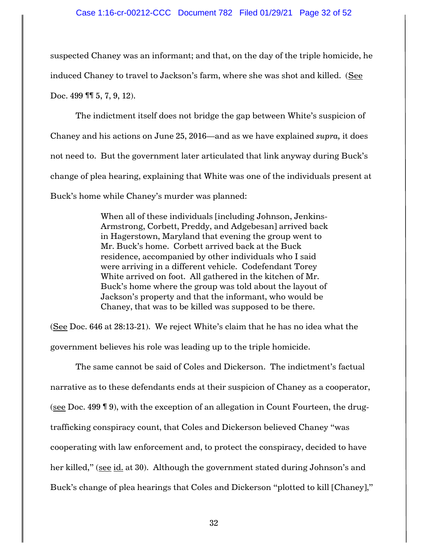### Case 1:16-cr-00212-CCC Document 782 Filed 01/29/21 Page 32 of 52

suspected Chaney was an informant; and that, on the day of the triple homicide, he induced Chaney to travel to Jackson's farm, where she was shot and killed. (See Doc. 499 **11** 5, 7, 9, 12).

The indictment itself does not bridge the gap between White's suspicion of Chaney and his actions on June 25, 2016—and as we have explained *supra,* it does not need to. But the government later articulated that link anyway during Buck's change of plea hearing, explaining that White was one of the individuals present at Buck's home while Chaney's murder was planned:

> When all of these individuals [including Johnson, Jenkins-Armstrong, Corbett, Preddy, and Adgebesan] arrived back in Hagerstown, Maryland that evening the group went to Mr. Buck's home. Corbett arrived back at the Buck residence, accompanied by other individuals who I said were arriving in a different vehicle. Codefendant Torey White arrived on foot. All gathered in the kitchen of Mr. Buck's home where the group was told about the layout of Jackson's property and that the informant, who would be Chaney, that was to be killed was supposed to be there.

(See Doc. 646 at 28:13-21). We reject White's claim that he has no idea what the government believes his role was leading up to the triple homicide.

The same cannot be said of Coles and Dickerson. The indictment's factual narrative as to these defendants ends at their suspicion of Chaney as a cooperator, (see Doc. 499 ¶ 9), with the exception of an allegation in Count Fourteen, the drugtrafficking conspiracy count, that Coles and Dickerson believed Chaney "was cooperating with law enforcement and, to protect the conspiracy, decided to have her killed," (see id. at 30). Although the government stated during Johnson's and Buck's change of plea hearings that Coles and Dickerson "plotted to kill [Chaney],"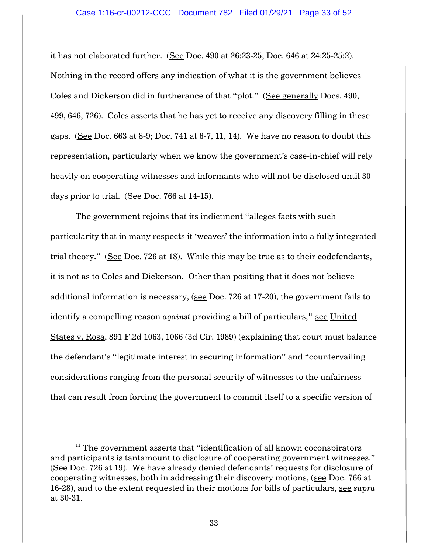it has not elaborated further. (See Doc. 490 at 26:23-25; Doc. 646 at 24:25-25:2). Nothing in the record offers any indication of what it is the government believes Coles and Dickerson did in furtherance of that "plot." (See generally Docs. 490, 499, 646, 726). Coles asserts that he has yet to receive any discovery filling in these gaps. (See Doc.  $663$  at  $8-9$ ; Doc.  $741$  at  $6-7$ ,  $11$ ,  $14$ ). We have no reason to doubt this representation, particularly when we know the government's case-in-chief will rely heavily on cooperating witnesses and informants who will not be disclosed until 30 days prior to trial. (See Doc. 766 at 14-15).

The government rejoins that its indictment "alleges facts with such particularity that in many respects it 'weaves' the information into a fully integrated trial theory." (See Doc. 726 at 18). While this may be true as to their codefendants, it is not as to Coles and Dickerson. Other than positing that it does not believe additional information is necessary, (see Doc. 726 at 17-20), the government fails to identify a compelling reason *against* providing a bill of particulars,<sup>11</sup> <u>see United</u> States v. Rosa, 891 F.2d 1063, 1066 (3d Cir. 1989) (explaining that court must balance the defendant's "legitimate interest in securing information" and "countervailing considerations ranging from the personal security of witnesses to the unfairness that can result from forcing the government to commit itself to a specific version of

 $\overline{\phantom{a}}$ 

 $11$  The government asserts that "identification of all known coconspirators and participants is tantamount to disclosure of cooperating government witnesses." (See Doc. 726 at 19). We have already denied defendants' requests for disclosure of cooperating witnesses, both in addressing their discovery motions, (see Doc. 766 at 16-28), and to the extent requested in their motions for bills of particulars, see *supra* at 30-31.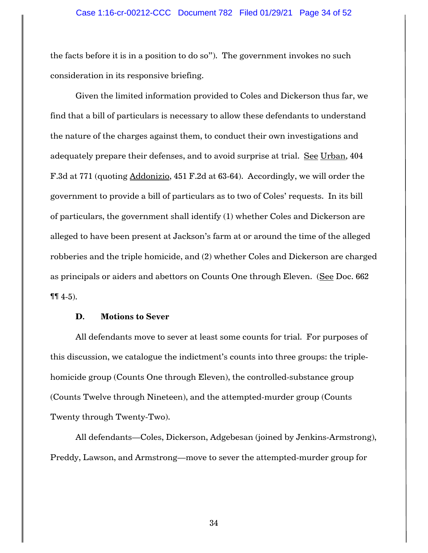the facts before it is in a position to do so"). The government invokes no such consideration in its responsive briefing.

Given the limited information provided to Coles and Dickerson thus far, we find that a bill of particulars is necessary to allow these defendants to understand the nature of the charges against them, to conduct their own investigations and adequately prepare their defenses, and to avoid surprise at trial. See Urban, 404 F.3d at 771 (quoting Addonizio, 451 F.2d at 63-64). Accordingly, we will order the government to provide a bill of particulars as to two of Coles' requests. In its bill of particulars, the government shall identify (1) whether Coles and Dickerson are alleged to have been present at Jackson's farm at or around the time of the alleged robberies and the triple homicide, and (2) whether Coles and Dickerson are charged as principals or aiders and abettors on Counts One through Eleven. (See Doc. 662  $\P\P$  4-5).

## **D. Motions to Sever**

All defendants move to sever at least some counts for trial. For purposes of this discussion, we catalogue the indictment's counts into three groups: the triplehomicide group (Counts One through Eleven), the controlled-substance group (Counts Twelve through Nineteen), and the attempted-murder group (Counts Twenty through Twenty-Two).

All defendants—Coles, Dickerson, Adgebesan (joined by Jenkins-Armstrong), Preddy, Lawson, and Armstrong—move to sever the attempted-murder group for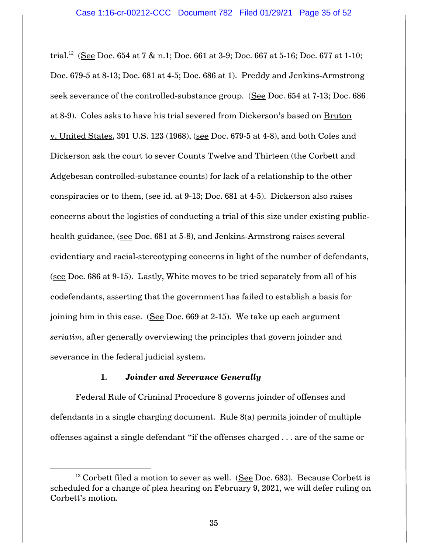trial. $^{12}$  (See Doc. 654 at 7 & n.1; Doc. 661 at 3-9; Doc. 667 at 5-16; Doc. 677 at 1-10; Doc. 679-5 at 8-13; Doc. 681 at 4-5; Doc. 686 at 1). Preddy and Jenkins-Armstrong seek severance of the controlled-substance group. (See Doc. 654 at 7-13; Doc. 686 at 8-9). Coles asks to have his trial severed from Dickerson's based on Bruton v. United States, 391 U.S. 123 (1968), (see Doc. 679-5 at 4-8), and both Coles and Dickerson ask the court to sever Counts Twelve and Thirteen (the Corbett and Adgebesan controlled-substance counts) for lack of a relationship to the other conspiracies or to them, (see id. at 9-13; Doc. 681 at 4-5). Dickerson also raises concerns about the logistics of conducting a trial of this size under existing publichealth guidance, (see Doc. 681 at 5-8), and Jenkins-Armstrong raises several evidentiary and racial-stereotyping concerns in light of the number of defendants, (see Doc. 686 at 9-15). Lastly, White moves to be tried separately from all of his codefendants, asserting that the government has failed to establish a basis for joining him in this case. (See Doc. 669 at 2-15). We take up each argument *seriatim*, after generally overviewing the principles that govern joinder and severance in the federal judicial system.

# **1.** *Joinder and Severance Generally*

l

Federal Rule of Criminal Procedure 8 governs joinder of offenses and defendants in a single charging document. Rule 8(a) permits joinder of multiple offenses against a single defendant "if the offenses charged . . . are of the same or

 $12$  Corbett filed a motion to sever as well. (See Doc. 683). Because Corbett is scheduled for a change of plea hearing on February 9, 2021, we will defer ruling on Corbett's motion.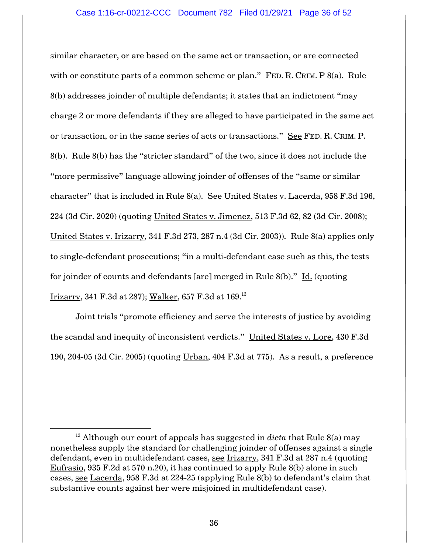similar character, or are based on the same act or transaction, or are connected with or constitute parts of a common scheme or plan." FED. R. CRIM. P 8(a). Rule 8(b) addresses joinder of multiple defendants; it states that an indictment "may charge 2 or more defendants if they are alleged to have participated in the same act or transaction, or in the same series of acts or transactions." See FED. R. CRIM. P. 8(b). Rule 8(b) has the "stricter standard" of the two, since it does not include the "more permissive" language allowing joinder of offenses of the "same or similar character" that is included in Rule 8(a). See United States v. Lacerda, 958 F.3d 196, 224 (3d Cir. 2020) (quoting United States v. Jimenez, 513 F.3d 62, 82 (3d Cir. 2008); United States v. Irizarry, 341 F.3d 273, 287 n.4 (3d Cir. 2003)). Rule 8(a) applies only to single-defendant prosecutions; "in a multi-defendant case such as this, the tests for joinder of counts and defendants [are] merged in Rule 8(b)." Id. (quoting Irizarry, 341 F.3d at 287); Walker, 657 F.3d at 169.<sup>13</sup>

Joint trials "promote efficiency and serve the interests of justice by avoiding the scandal and inequity of inconsistent verdicts." United States v. Lore, 430 F.3d 190, 204-05 (3d Cir. 2005) (quoting Urban, 404 F.3d at 775). As a result, a preference

 $\overline{a}$ 

<sup>&</sup>lt;sup>13</sup> Although our court of appeals has suggested in *dicta* that Rule 8(a) may nonetheless supply the standard for challenging joinder of offenses against a single defendant, even in multidefendant cases, see Irizarry, 341 F.3d at 287 n.4 (quoting Eufrasio, 935 F.2d at 570 n.20), it has continued to apply Rule 8(b) alone in such cases, see Lacerda, 958 F.3d at 224-25 (applying Rule 8(b) to defendant's claim that substantive counts against her were misjoined in multidefendant case).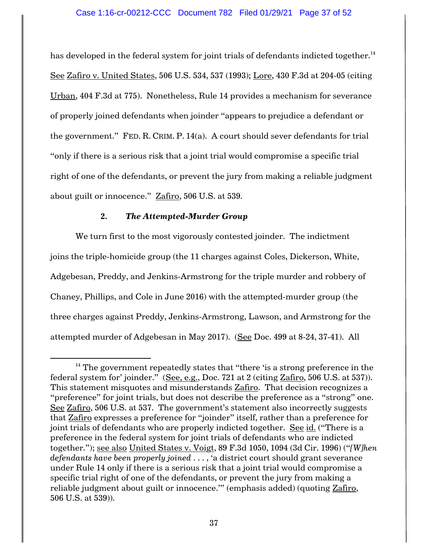has developed in the federal system for joint trials of defendants indicted together. $^{\rm 14}$ See Zafiro v. United States, 506 U.S. 534, 537 (1993); Lore, 430 F.3d at 204-05 (citing Urban, 404 F.3d at 775). Nonetheless, Rule 14 provides a mechanism for severance of properly joined defendants when joinder "appears to prejudice a defendant or the government." FED. R. CRIM. P. 14(a). A court should sever defendants for trial "only if there is a serious risk that a joint trial would compromise a specific trial right of one of the defendants, or prevent the jury from making a reliable judgment about guilt or innocence." Zafiro, 506 U.S. at 539.

# **2.** *The Attempted-Murder Group*

 $\overline{\phantom{a}}$ 

We turn first to the most vigorously contested joinder. The indictment joins the triple-homicide group (the 11 charges against Coles, Dickerson, White, Adgebesan, Preddy, and Jenkins-Armstrong for the triple murder and robbery of Chaney, Phillips, and Cole in June 2016) with the attempted-murder group (the three charges against Preddy, Jenkins-Armstrong, Lawson, and Armstrong for the attempted murder of Adgebesan in May 2017). (See Doc. 499 at 8-24, 37-41). All

 $14$  The government repeatedly states that "there 'is a strong preference in the federal system for' joinder." (See, e.g., Doc. 721 at 2 (citing Zafiro, 506 U.S. at 537)). This statement misquotes and misunderstands Zafiro. That decision recognizes a "preference" for joint trials, but does not describe the preference as a "strong" one. See Zafiro, 506 U.S. at 537. The government's statement also incorrectly suggests that Zafiro expresses a preference for "joinder" itself, rather than a preference for joint trials of defendants who are properly indicted together. See id. ("There is a preference in the federal system for joint trials of defendants who are indicted together."); see also United States v. Voigt, 89 F.3d 1050, 1094 (3d Cir. 1996) ("*[W]hen defendants have been properly joined* . . . , 'a district court should grant severance under Rule 14 only if there is a serious risk that a joint trial would compromise a specific trial right of one of the defendants, or prevent the jury from making a reliable judgment about guilt or innocence." (emphasis added) (quoting Zafiro, 506 U.S. at 539)).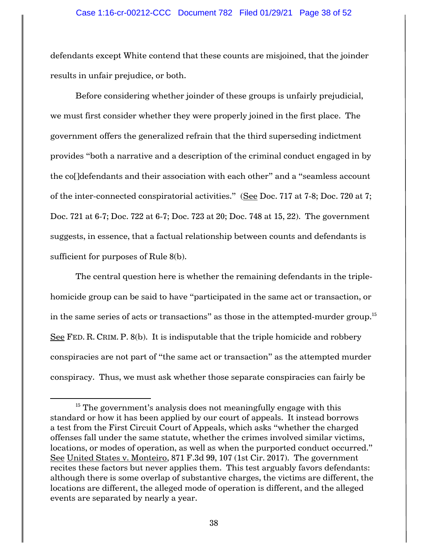### Case 1:16-cr-00212-CCC Document 782 Filed 01/29/21 Page 38 of 52

defendants except White contend that these counts are misjoined, that the joinder results in unfair prejudice, or both.

Before considering whether joinder of these groups is unfairly prejudicial, we must first consider whether they were properly joined in the first place. The government offers the generalized refrain that the third superseding indictment provides "both a narrative and a description of the criminal conduct engaged in by the co[]defendants and their association with each other" and a "seamless account of the inter-connected conspiratorial activities." (See Doc. 717 at 7-8; Doc. 720 at 7; Doc. 721 at 6-7; Doc. 722 at 6-7; Doc. 723 at 20; Doc. 748 at 15, 22). The government suggests, in essence, that a factual relationship between counts and defendants is sufficient for purposes of Rule 8(b).

The central question here is whether the remaining defendants in the triplehomicide group can be said to have "participated in the same act or transaction, or in the same series of acts or transactions" as those in the attempted-murder group. $^{\rm 15}$ See FED. R. CRIM. P. 8(b). It is indisputable that the triple homicide and robbery conspiracies are not part of "the same act or transaction" as the attempted murder conspiracy. Thus, we must ask whether those separate conspiracies can fairly be

 $\overline{\phantom{a}}$ 

 $15$  The government's analysis does not meaningfully engage with this standard or how it has been applied by our court of appeals. It instead borrows a test from the First Circuit Court of Appeals, which asks "whether the charged offenses fall under the same statute, whether the crimes involved similar victims, locations, or modes of operation, as well as when the purported conduct occurred." See United States v. Monteiro, 871 F.3d 99, 107 (1st Cir. 2017). The government recites these factors but never applies them. This test arguably favors defendants: although there is some overlap of substantive charges, the victims are different, the locations are different, the alleged mode of operation is different, and the alleged events are separated by nearly a year.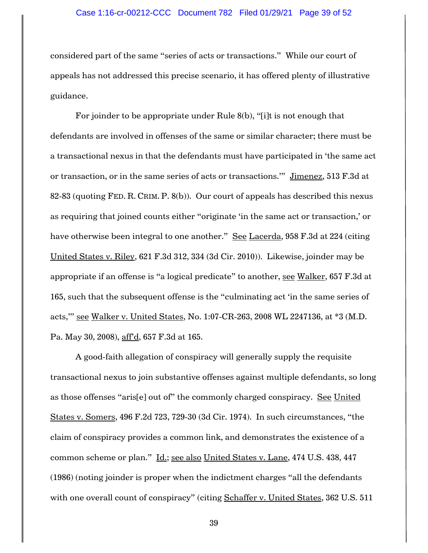### Case 1:16-cr-00212-CCC Document 782 Filed 01/29/21 Page 39 of 52

considered part of the same "series of acts or transactions." While our court of appeals has not addressed this precise scenario, it has offered plenty of illustrative guidance.

For joinder to be appropriate under Rule 8(b), "[i]t is not enough that defendants are involved in offenses of the same or similar character; there must be a transactional nexus in that the defendants must have participated in 'the same act or transaction, or in the same series of acts or transactions."" Jimenez, 513 F.3d at 82-83 (quoting FED. R. CRIM. P. 8(b)). Our court of appeals has described this nexus as requiring that joined counts either "originate 'in the same act or transaction,' or have otherwise been integral to one another." See Lacerda, 958 F.3d at 224 (citing United States v. Riley, 621 F.3d 312, 334 (3d Cir. 2010)). Likewise, joinder may be appropriate if an offense is "a logical predicate" to another, see Walker, 657 F.3d at 165, such that the subsequent offense is the "culminating act 'in the same series of acts,'" see Walker v. United States, No. 1:07-CR-263, 2008 WL 2247136, at \*3 (M.D. Pa. May 30, 2008), aff'd, 657 F.3d at 165.

A good-faith allegation of conspiracy will generally supply the requisite transactional nexus to join substantive offenses against multiple defendants, so long as those offenses "aris[e] out of" the commonly charged conspiracy. See United States v. Somers, 496 F.2d 723, 729-30 (3d Cir. 1974). In such circumstances, "the claim of conspiracy provides a common link, and demonstrates the existence of a common scheme or plan." Id.; see also United States v. Lane, 474 U.S. 438, 447 (1986) (noting joinder is proper when the indictment charges "all the defendants with one overall count of conspiracy" (citing Schaffer v. United States, 362 U.S. 511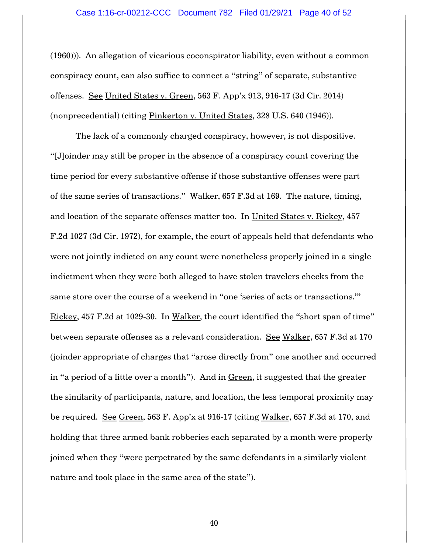(1960))). An allegation of vicarious coconspirator liability, even without a common conspiracy count, can also suffice to connect a "string" of separate, substantive offenses. See United States v. Green, 563 F. App'x 913, 916-17 (3d Cir. 2014) (nonprecedential) (citing Pinkerton v. United States, 328 U.S. 640 (1946)).

The lack of a commonly charged conspiracy, however, is not dispositive. "[J]oinder may still be proper in the absence of a conspiracy count covering the time period for every substantive offense if those substantive offenses were part of the same series of transactions." Walker, 657 F.3d at 169. The nature, timing, and location of the separate offenses matter too. In United States v. Rickey, 457 F.2d 1027 (3d Cir. 1972), for example, the court of appeals held that defendants who were not jointly indicted on any count were nonetheless properly joined in a single indictment when they were both alleged to have stolen travelers checks from the same store over the course of a weekend in "one 'series of acts or transactions.'" Rickey, 457 F.2d at 1029-30. In Walker, the court identified the "short span of time" between separate offenses as a relevant consideration. See Walker, 657 F.3d at 170 (joinder appropriate of charges that "arose directly from" one another and occurred in "a period of a little over a month"). And in Green, it suggested that the greater the similarity of participants, nature, and location, the less temporal proximity may be required. See Green, 563 F. App'x at 916-17 (citing Walker, 657 F.3d at 170, and holding that three armed bank robberies each separated by a month were properly joined when they "were perpetrated by the same defendants in a similarly violent nature and took place in the same area of the state").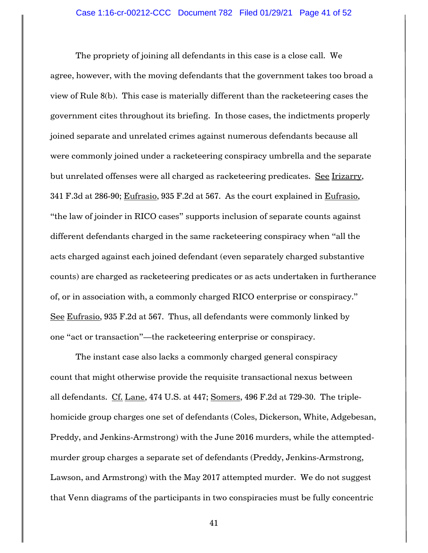The propriety of joining all defendants in this case is a close call. We agree, however, with the moving defendants that the government takes too broad a view of Rule 8(b). This case is materially different than the racketeering cases the government cites throughout its briefing. In those cases, the indictments properly joined separate and unrelated crimes against numerous defendants because all were commonly joined under a racketeering conspiracy umbrella and the separate but unrelated offenses were all charged as racketeering predicates. See Irizarry, 341 F.3d at 286-90; Eufrasio, 935 F.2d at 567. As the court explained in Eufrasio, "the law of joinder in RICO cases" supports inclusion of separate counts against different defendants charged in the same racketeering conspiracy when "all the acts charged against each joined defendant (even separately charged substantive counts) are charged as racketeering predicates or as acts undertaken in furtherance of, or in association with, a commonly charged RICO enterprise or conspiracy." See Eufrasio, 935 F.2d at 567. Thus, all defendants were commonly linked by one "act or transaction"—the racketeering enterprise or conspiracy.

The instant case also lacks a commonly charged general conspiracy count that might otherwise provide the requisite transactional nexus between all defendants. Cf. Lane, 474 U.S. at 447; Somers, 496 F.2d at 729-30. The triplehomicide group charges one set of defendants (Coles, Dickerson, White, Adgebesan, Preddy, and Jenkins-Armstrong) with the June 2016 murders, while the attemptedmurder group charges a separate set of defendants (Preddy, Jenkins-Armstrong, Lawson, and Armstrong) with the May 2017 attempted murder. We do not suggest that Venn diagrams of the participants in two conspiracies must be fully concentric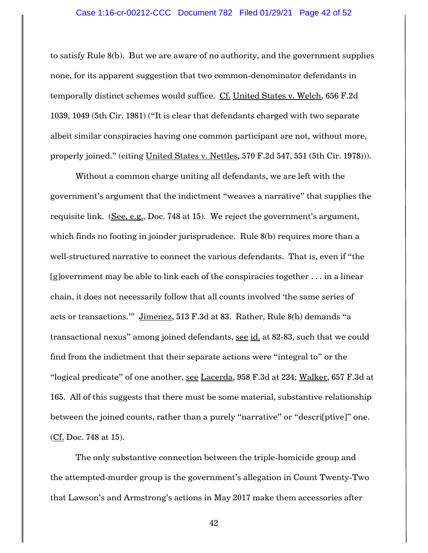to satisfy Rule 8(b). But we are aware of no authority, and the government supplies none, for its apparent suggestion that two common-denominator defendants in temporally distinct schemes would suffice. Cf. United States v. Welch, 656 F.2d 1039, 1049 (5th Cir. 1981) ("It is clear that defendants charged with two separate albeit similar conspiracies having one common participant are not, without more, properly joined." (citing United States v. Nettles, 570 F.2d 547, 551 (5th Cir. 1978))).

Without a common charge uniting all defendants, we are left with the government's argument that the indictment "weaves a narrative" that supplies the requisite link. (See, e.g., Doc. 748 at 15). We reject the government's argument, which finds no footing in joinder jurisprudence. Rule 8(b) requires more than a well-structured narrative to connect the various defendants. That is, even if "the [g]overnment may be able to link each of the conspiracies together . . . in a linear chain, it does not necessarily follow that all counts involved 'the same series of acts or transactions.'" Jimenez, 513 F.3d at 83. Rather, Rule 8(b) demands "a transactional nexus" among joined defendants, see id. at 82-83, such that we could find from the indictment that their separate actions were "integral to" or the "logical predicate" of one another, see Lacerda, 958 F.3d at 224; Walker, 657 F.3d at 165. All of this suggests that there must be some material, substantive relationship between the joined counts, rather than a purely "narrative" or "descri[ptive]" one. (Cf. Doc. 748 at 15).

The only substantive connection between the triple-homicide group and the attempted-murder group is the government's allegation in Count Twenty-Two that Lawson's and Armstrong's actions in May 2017 make them accessories after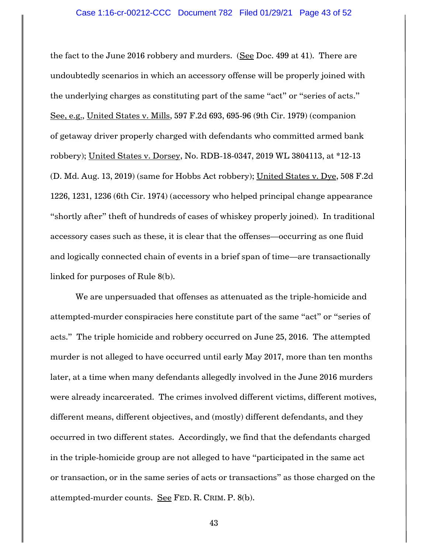the fact to the June 2016 robbery and murders. (See Doc. 499 at 41). There are undoubtedly scenarios in which an accessory offense will be properly joined with the underlying charges as constituting part of the same "act" or "series of acts." See, e.g., United States v. Mills, 597 F.2d 693, 695-96 (9th Cir. 1979) (companion of getaway driver properly charged with defendants who committed armed bank robbery); United States v. Dorsey, No. RDB-18-0347, 2019 WL 3804113, at \*12-13 (D. Md. Aug. 13, 2019) (same for Hobbs Act robbery); United States v. Dye, 508 F.2d 1226, 1231, 1236 (6th Cir. 1974) (accessory who helped principal change appearance "shortly after" theft of hundreds of cases of whiskey properly joined). In traditional accessory cases such as these, it is clear that the offenses—occurring as one fluid and logically connected chain of events in a brief span of time—are transactionally linked for purposes of Rule 8(b).

We are unpersuaded that offenses as attenuated as the triple-homicide and attempted-murder conspiracies here constitute part of the same "act" or "series of acts." The triple homicide and robbery occurred on June 25, 2016. The attempted murder is not alleged to have occurred until early May 2017, more than ten months later, at a time when many defendants allegedly involved in the June 2016 murders were already incarcerated. The crimes involved different victims, different motives, different means, different objectives, and (mostly) different defendants, and they occurred in two different states. Accordingly, we find that the defendants charged in the triple-homicide group are not alleged to have "participated in the same act or transaction, or in the same series of acts or transactions" as those charged on the attempted-murder counts. See FED. R. CRIM. P. 8(b).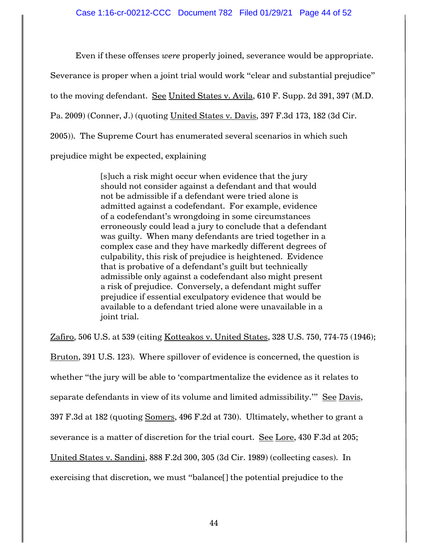Even if these offenses *were* properly joined, severance would be appropriate.

Severance is proper when a joint trial would work "clear and substantial prejudice"

to the moving defendant. See United States v. Avila, 610 F. Supp. 2d 391, 397 (M.D.

Pa. 2009) (Conner, J.) (quoting United States v. Davis, 397 F.3d 173, 182 (3d Cir.

2005)). The Supreme Court has enumerated several scenarios in which such

prejudice might be expected, explaining

[s]uch a risk might occur when evidence that the jury should not consider against a defendant and that would not be admissible if a defendant were tried alone is admitted against a codefendant. For example, evidence of a codefendant's wrongdoing in some circumstances erroneously could lead a jury to conclude that a defendant was guilty. When many defendants are tried together in a complex case and they have markedly different degrees of culpability, this risk of prejudice is heightened. Evidence that is probative of a defendant's guilt but technically admissible only against a codefendant also might present a risk of prejudice. Conversely, a defendant might suffer prejudice if essential exculpatory evidence that would be available to a defendant tried alone were unavailable in a joint trial.

Zafiro, 506 U.S. at 539 (citing Kotteakos v. United States, 328 U.S. 750, 774-75 (1946);

Bruton, 391 U.S. 123). Where spillover of evidence is concerned, the question is whether "the jury will be able to 'compartmentalize the evidence as it relates to separate defendants in view of its volume and limited admissibility."" See Davis, 397 F.3d at 182 (quoting Somers, 496 F.2d at 730). Ultimately, whether to grant a severance is a matter of discretion for the trial court. See Lore, 430 F.3d at 205; United States v. Sandini, 888 F.2d 300, 305 (3d Cir. 1989) (collecting cases). In exercising that discretion, we must "balance[] the potential prejudice to the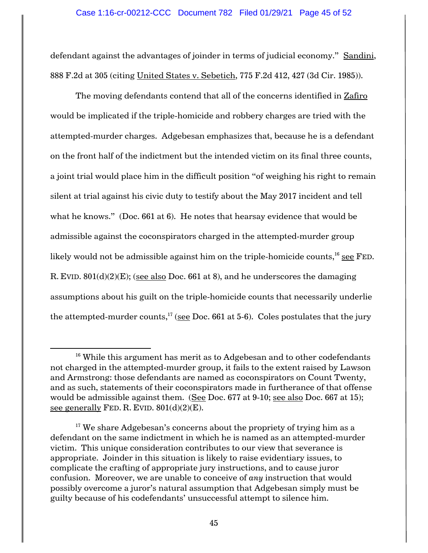defendant against the advantages of joinder in terms of judicial economy." Sandini, 888 F.2d at 305 (citing United States v. Sebetich, 775 F.2d 412, 427 (3d Cir. 1985)).

The moving defendants contend that all of the concerns identified in Zafiro would be implicated if the triple-homicide and robbery charges are tried with the attempted-murder charges. Adgebesan emphasizes that, because he is a defendant on the front half of the indictment but the intended victim on its final three counts, a joint trial would place him in the difficult position "of weighing his right to remain silent at trial against his civic duty to testify about the May 2017 incident and tell what he knows." (Doc. 661 at 6). He notes that hearsay evidence that would be admissible against the coconspirators charged in the attempted-murder group likely would not be admissible against him on the triple-homicide counts, $^{16}$  <u>see</u> FED. R. EVID. 801(d)(2)(E); (see also Doc. 661 at 8), and he underscores the damaging assumptions about his guilt on the triple-homicide counts that necessarily underlie the attempted-murder counts, $^{17}$  (see Doc. 661 at 5-6). Coles postulates that the jury

 $\overline{a}$ 

 $16$  While this argument has merit as to Adgebesan and to other codefendants not charged in the attempted-murder group, it fails to the extent raised by Lawson and Armstrong: those defendants are named as coconspirators on Count Twenty, and as such, statements of their coconspirators made in furtherance of that offense would be admissible against them. (See Doc. 677 at 9-10; see also Doc. 667 at 15); see generally FED. R. EVID.  $801(d)(2)(E)$ .

 $17$  We share Adgebesan's concerns about the propriety of trying him as a defendant on the same indictment in which he is named as an attempted-murder victim. This unique consideration contributes to our view that severance is appropriate. Joinder in this situation is likely to raise evidentiary issues, to complicate the crafting of appropriate jury instructions, and to cause juror confusion. Moreover, we are unable to conceive of *any* instruction that would possibly overcome a juror's natural assumption that Adgebesan simply must be guilty because of his codefendants' unsuccessful attempt to silence him.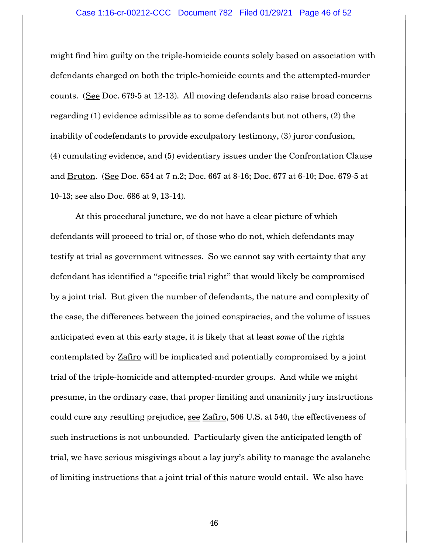### Case 1:16-cr-00212-CCC Document 782 Filed 01/29/21 Page 46 of 52

might find him guilty on the triple-homicide counts solely based on association with defendants charged on both the triple-homicide counts and the attempted-murder counts. (See Doc. 679-5 at 12-13). All moving defendants also raise broad concerns regarding (1) evidence admissible as to some defendants but not others, (2) the inability of codefendants to provide exculpatory testimony, (3) juror confusion, (4) cumulating evidence, and (5) evidentiary issues under the Confrontation Clause and Bruton. (See Doc. 654 at 7 n.2; Doc. 667 at 8-16; Doc. 677 at 6-10; Doc. 679-5 at 10-13; see also Doc. 686 at 9, 13-14).

At this procedural juncture, we do not have a clear picture of which defendants will proceed to trial or, of those who do not, which defendants may testify at trial as government witnesses. So we cannot say with certainty that any defendant has identified a "specific trial right" that would likely be compromised by a joint trial. But given the number of defendants, the nature and complexity of the case, the differences between the joined conspiracies, and the volume of issues anticipated even at this early stage, it is likely that at least *some* of the rights contemplated by **Zafiro** will be implicated and potentially compromised by a joint trial of the triple-homicide and attempted-murder groups. And while we might presume, in the ordinary case, that proper limiting and unanimity jury instructions could cure any resulting prejudice, see Zafiro, 506 U.S. at 540, the effectiveness of such instructions is not unbounded. Particularly given the anticipated length of trial, we have serious misgivings about a lay jury's ability to manage the avalanche of limiting instructions that a joint trial of this nature would entail. We also have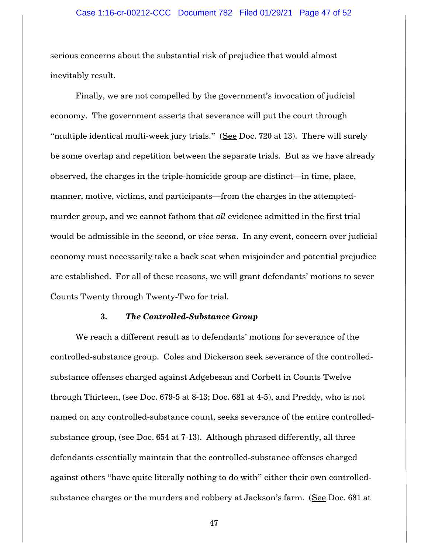serious concerns about the substantial risk of prejudice that would almost inevitably result.

Finally, we are not compelled by the government's invocation of judicial economy. The government asserts that severance will put the court through "multiple identical multi-week jury trials." (See Doc. 720 at 13). There will surely be some overlap and repetition between the separate trials. But as we have already observed, the charges in the triple-homicide group are distinct—in time, place, manner, motive, victims, and participants—from the charges in the attemptedmurder group, and we cannot fathom that *all* evidence admitted in the first trial would be admissible in the second, or *vice versa*. In any event, concern over judicial economy must necessarily take a back seat when misjoinder and potential prejudice are established. For all of these reasons, we will grant defendants' motions to sever Counts Twenty through Twenty-Two for trial.

### **3.** *The Controlled-Substance Group*

We reach a different result as to defendants' motions for severance of the controlled-substance group. Coles and Dickerson seek severance of the controlledsubstance offenses charged against Adgebesan and Corbett in Counts Twelve through Thirteen, (see Doc. 679-5 at 8-13; Doc. 681 at 4-5), and Preddy, who is not named on any controlled-substance count, seeks severance of the entire controlledsubstance group, (see Doc. 654 at 7-13). Although phrased differently, all three defendants essentially maintain that the controlled-substance offenses charged against others "have quite literally nothing to do with" either their own controlledsubstance charges or the murders and robbery at Jackson's farm. (See Doc. 681 at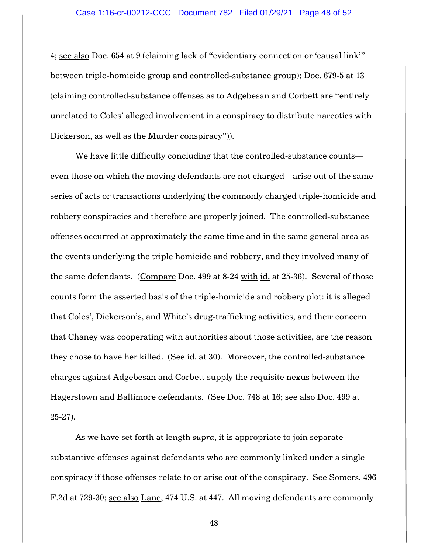4; see also Doc. 654 at 9 (claiming lack of "evidentiary connection or 'causal link'" between triple-homicide group and controlled-substance group); Doc. 679-5 at 13 (claiming controlled-substance offenses as to Adgebesan and Corbett are "entirely unrelated to Coles' alleged involvement in a conspiracy to distribute narcotics with Dickerson, as well as the Murder conspiracy")).

We have little difficulty concluding that the controlled-substance counts even those on which the moving defendants are not charged—arise out of the same series of acts or transactions underlying the commonly charged triple-homicide and robbery conspiracies and therefore are properly joined. The controlled-substance offenses occurred at approximately the same time and in the same general area as the events underlying the triple homicide and robbery, and they involved many of the same defendants. (Compare Doc. 499 at 8-24 with id. at 25-36). Several of those counts form the asserted basis of the triple-homicide and robbery plot: it is alleged that Coles', Dickerson's, and White's drug-trafficking activities, and their concern that Chaney was cooperating with authorities about those activities, are the reason they chose to have her killed. (See  $id$  at 30). Moreover, the controlled-substance charges against Adgebesan and Corbett supply the requisite nexus between the Hagerstown and Baltimore defendants. (See Doc. 748 at 16; see also Doc. 499 at 25-27).

As we have set forth at length *supra*, it is appropriate to join separate substantive offenses against defendants who are commonly linked under a single conspiracy if those offenses relate to or arise out of the conspiracy. See Somers, 496 F.2d at 729-30; see also Lane, 474 U.S. at 447. All moving defendants are commonly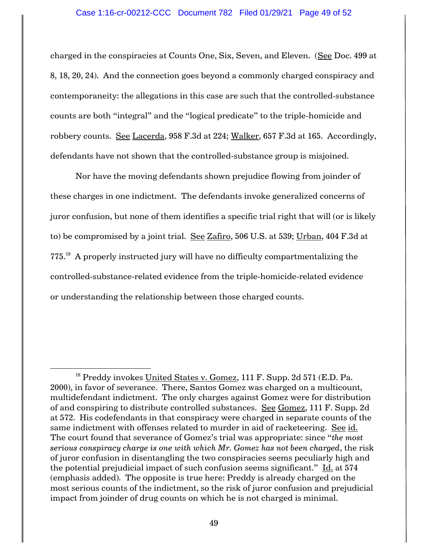charged in the conspiracies at Counts One, Six, Seven, and Eleven. (See Doc. 499 at 8, 18, 20, 24). And the connection goes beyond a commonly charged conspiracy and contemporaneity: the allegations in this case are such that the controlled-substance counts are both "integral" and the "logical predicate" to the triple-homicide and robbery counts. See Lacerda, 958 F.3d at 224; Walker, 657 F.3d at 165. Accordingly, defendants have not shown that the controlled-substance group is misjoined.

Nor have the moving defendants shown prejudice flowing from joinder of these charges in one indictment. The defendants invoke generalized concerns of juror confusion, but none of them identifies a specific trial right that will (or is likely to) be compromised by a joint trial. See Zafiro, 506 U.S. at 539; Urban, 404 F.3d at  $775.^{18}$  A properly instructed jury will have no difficulty compartmentalizing the controlled-substance-related evidence from the triple-homicide-related evidence or understanding the relationship between those charged counts.

 $\overline{\phantom{a}}$ 

<sup>&</sup>lt;sup>18</sup> Preddy invokes United States v. Gomez, 111 F. Supp. 2d 571 (E.D. Pa. 2000), in favor of severance. There, Santos Gomez was charged on a multicount, multidefendant indictment. The only charges against Gomez were for distribution of and conspiring to distribute controlled substances. See Gomez, 111 F. Supp. 2d at 572. His codefendants in that conspiracy were charged in separate counts of the same indictment with offenses related to murder in aid of racketeering. See id. The court found that severance of Gomez's trial was appropriate: since "*the most serious conspiracy charge is one with which Mr. Gomez has not been charged*, the risk of juror confusion in disentangling the two conspiracies seems peculiarly high and the potential prejudicial impact of such confusion seems significant." Id. at 574 (emphasis added). The opposite is true here: Preddy is already charged on the most serious counts of the indictment, so the risk of juror confusion and prejudicial impact from joinder of drug counts on which he is not charged is minimal.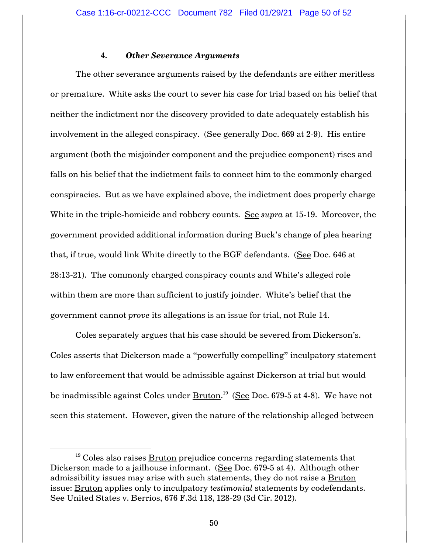## **4.** *Other Severance Arguments*

The other severance arguments raised by the defendants are either meritless or premature. White asks the court to sever his case for trial based on his belief that neither the indictment nor the discovery provided to date adequately establish his involvement in the alleged conspiracy. (See generally Doc. 669 at 2-9). His entire argument (both the misjoinder component and the prejudice component) rises and falls on his belief that the indictment fails to connect him to the commonly charged conspiracies. But as we have explained above, the indictment does properly charge White in the triple-homicide and robbery counts. See *supra* at 15-19. Moreover, the government provided additional information during Buck's change of plea hearing that, if true, would link White directly to the BGF defendants. (See Doc. 646 at 28:13-21). The commonly charged conspiracy counts and White's alleged role within them are more than sufficient to justify joinder. White's belief that the government cannot *prove* its allegations is an issue for trial, not Rule 14.

Coles separately argues that his case should be severed from Dickerson's. Coles asserts that Dickerson made a "powerfully compelling" inculpatory statement to law enforcement that would be admissible against Dickerson at trial but would be inadmissible against Coles under <u>Bruton</u>.<sup>19</sup> (See Doc. 679-5 at 4-8). We have not seen this statement. However, given the nature of the relationship alleged between

 $\overline{\phantom{a}}$ 

 $19$  Coles also raises  $Bruton$  prejudice concerns regarding statements that</u> Dickerson made to a jailhouse informant. (See Doc. 679-5 at 4). Although other admissibility issues may arise with such statements, they do not raise a Bruton issue: Bruton applies only to inculpatory *testimonial* statements by codefendants. See United States v. Berrios, 676 F.3d 118, 128-29 (3d Cir. 2012).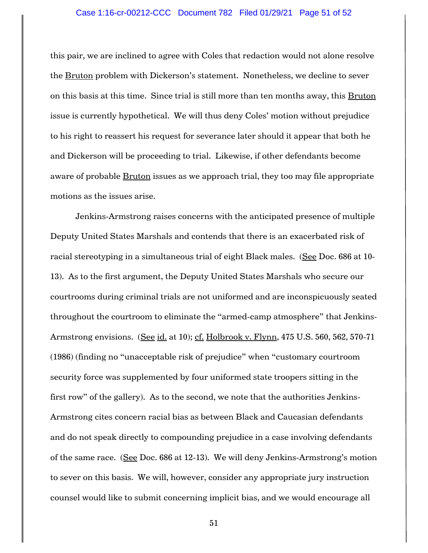### Case 1:16-cr-00212-CCC Document 782 Filed 01/29/21 Page 51 of 52

this pair, we are inclined to agree with Coles that redaction would not alone resolve the Bruton problem with Dickerson's statement. Nonetheless, we decline to sever on this basis at this time. Since trial is still more than ten months away, this Bruton issue is currently hypothetical. We will thus deny Coles' motion without prejudice to his right to reassert his request for severance later should it appear that both he and Dickerson will be proceeding to trial. Likewise, if other defendants become aware of probable **Bruton** issues as we approach trial, they too may file appropriate motions as the issues arise.

Jenkins-Armstrong raises concerns with the anticipated presence of multiple Deputy United States Marshals and contends that there is an exacerbated risk of racial stereotyping in a simultaneous trial of eight Black males. (See Doc. 686 at 10-13). As to the first argument, the Deputy United States Marshals who secure our courtrooms during criminal trials are not uniformed and are inconspicuously seated throughout the courtroom to eliminate the "armed-camp atmosphere" that Jenkins-Armstrong envisions. (See id. at 10); cf. Holbrook v. Flynn, 475 U.S. 560, 562, 570-71 (1986) (finding no "unacceptable risk of prejudice" when "customary courtroom security force was supplemented by four uniformed state troopers sitting in the first row" of the gallery). As to the second, we note that the authorities Jenkins-Armstrong cites concern racial bias as between Black and Caucasian defendants and do not speak directly to compounding prejudice in a case involving defendants of the same race. (See Doc. 686 at 12-13). We will deny Jenkins-Armstrong's motion to sever on this basis. We will, however, consider any appropriate jury instruction counsel would like to submit concerning implicit bias, and we would encourage all